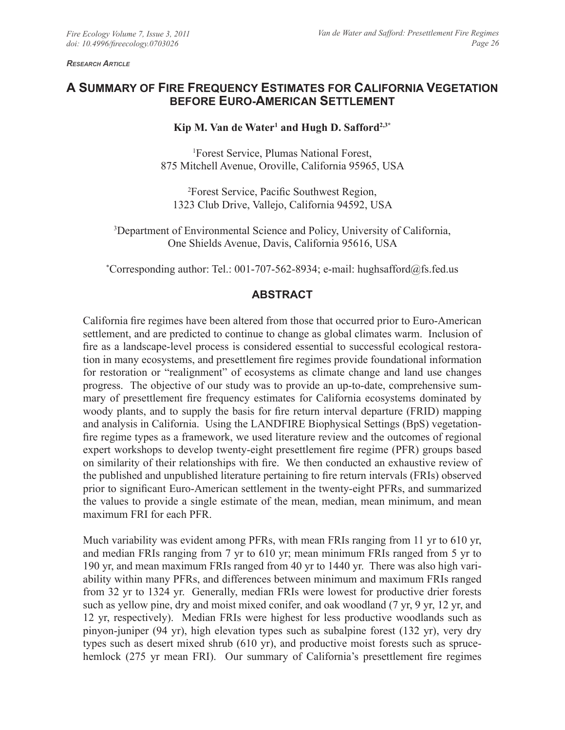# **A Summary of Fire Frequency Estimates for California Vegetation before Euro-American Settlement**

# Kip M. Van de Water<sup>1</sup> and Hugh D. Safford<sup>2,3\*</sup>

1 Forest Service, Plumas National Forest, 875 Mitchell Avenue, Oroville, California 95965, USA

2 Forest Service, Pacific Southwest Region, 1323 Club Drive, Vallejo, California 94592, USA

3 Department of Environmental Science and Policy, University of California, One Shields Avenue, Davis, California 95616, USA

\* Corresponding author: Tel.: 001-707-562-8934; e-mail: hughsafford@fs.fed.us

# **ABSTRACT**

California fire regimes have been altered from those that occurred prior to Euro-American settlement, and are predicted to continue to change as global climates warm. Inclusion of fire as a landscape-level process is considered essential to successful ecological restoration in many ecosystems, and presettlement fire regimes provide foundational information for restoration or "realignment" of ecosystems as climate change and land use changes progress. The objective of our study was to provide an up-to-date, comprehensive summary of presettlement fire frequency estimates for California ecosystems dominated by woody plants, and to supply the basis for fire return interval departure (FRID) mapping and analysis in California. Using the LANDFIRE Biophysical Settings (BpS) vegetationfire regime types as a framework, we used literature review and the outcomes of regional expert workshops to develop twenty-eight presettlement fire regime (PFR) groups based on similarity of their relationships with fire. We then conducted an exhaustive review of the published and unpublished literature pertaining to fire return intervals (FRIs) observed prior to significant Euro-American settlement in the twenty-eight PFRs, and summarized the values to provide a single estimate of the mean, median, mean minimum, and mean maximum FRI for each PFR.

Much variability was evident among PFRs, with mean FRIs ranging from 11 yr to 610 yr, and median FRIs ranging from 7 yr to 610 yr; mean minimum FRIs ranged from 5 yr to 190 yr, and mean maximum FRIs ranged from 40 yr to 1440 yr. There was also high variability within many PFRs, and differences between minimum and maximum FRIs ranged from 32 yr to 1324 yr. Generally, median FRIs were lowest for productive drier forests such as yellow pine, dry and moist mixed conifer, and oak woodland (7 yr, 9 yr, 12 yr, and 12 yr, respectively). Median FRIs were highest for less productive woodlands such as pinyon-juniper (94 yr), high elevation types such as subalpine forest (132 yr), very dry types such as desert mixed shrub (610 yr), and productive moist forests such as sprucehemlock (275 yr mean FRI). Our summary of California's presettlement fire regimes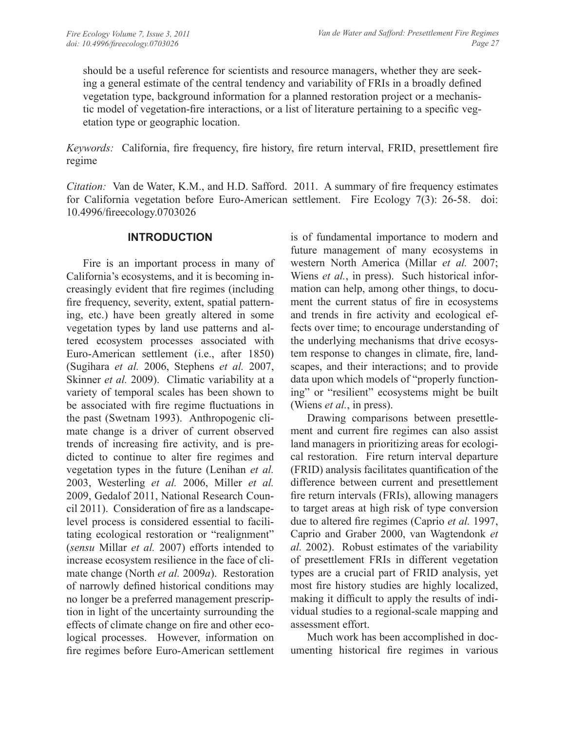should be a useful reference for scientists and resource managers, whether they are seeking a general estimate of the central tendency and variability of FRIs in a broadly defined vegetation type, background information for a planned restoration project or a mechanistic model of vegetation-fire interactions, or a list of literature pertaining to a specific vegetation type or geographic location.

*Keywords:* California, fire frequency, fire history, fire return interval, FRID, presettlement fire regime

*Citation:* Van de Water, K.M., and H.D. Safford. 2011. A summary of fire frequency estimates for California vegetation before Euro-American settlement. Fire Ecology 7(3): 26-58. doi: 10.4996/fireecology.0703026

### **INTRODUCTION**

Fire is an important process in many of California's ecosystems, and it is becoming increasingly evident that fire regimes (including fire frequency, severity, extent, spatial patterning, etc.) have been greatly altered in some vegetation types by land use patterns and altered ecosystem processes associated with Euro-American settlement (i.e., after 1850) (Sugihara *et al.* 2006, Stephens *et al.* 2007, Skinner *et al.* 2009). Climatic variability at a variety of temporal scales has been shown to be associated with fire regime fluctuations in the past (Swetnam 1993). Anthropogenic climate change is a driver of current observed trends of increasing fire activity, and is predicted to continue to alter fire regimes and vegetation types in the future (Lenihan *et al.*  2003, Westerling *et al.* 2006, Miller *et al.*  2009, Gedalof 2011, National Research Council 2011). Consideration of fire as a landscapelevel process is considered essential to facilitating ecological restoration or "realignment" (*sensu* Millar *et al.* 2007) efforts intended to increase ecosystem resilience in the face of climate change (North *et al.* 2009*a*). Restoration of narrowly defined historical conditions may no longer be a preferred management prescription in light of the uncertainty surrounding the effects of climate change on fire and other ecological processes. However, information on fire regimes before Euro-American settlement is of fundamental importance to modern and future management of many ecosystems in western North America (Millar *et al.* 2007; Wiens *et al.*, in press). Such historical information can help, among other things, to document the current status of fire in ecosystems and trends in fire activity and ecological effects over time; to encourage understanding of the underlying mechanisms that drive ecosystem response to changes in climate, fire, landscapes, and their interactions; and to provide data upon which models of "properly functioning" or "resilient" ecosystems might be built (Wiens *et al.*, in press).

Drawing comparisons between presettlement and current fire regimes can also assist land managers in prioritizing areas for ecological restoration. Fire return interval departure (FRID) analysis facilitates quantification of the difference between current and presettlement fire return intervals (FRIs), allowing managers to target areas at high risk of type conversion due to altered fire regimes (Caprio *et al.* 1997, Caprio and Graber 2000, van Wagtendonk *et al.* 2002). Robust estimates of the variability of presettlement FRIs in different vegetation types are a crucial part of FRID analysis, yet most fire history studies are highly localized, making it difficult to apply the results of individual studies to a regional-scale mapping and assessment effort.

Much work has been accomplished in documenting historical fire regimes in various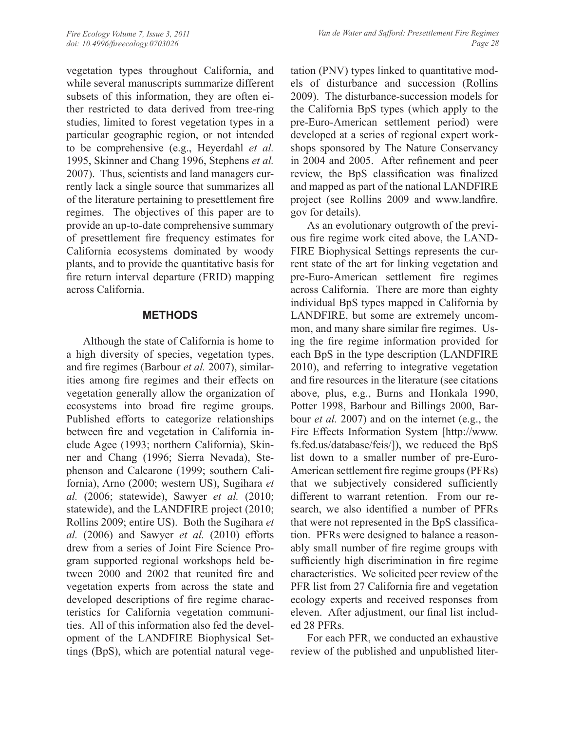vegetation types throughout California, and while several manuscripts summarize different subsets of this information, they are often either restricted to data derived from tree-ring studies, limited to forest vegetation types in a particular geographic region, or not intended to be comprehensive (e.g., Heyerdahl *et al.*  1995, Skinner and Chang 1996, Stephens *et al.*  2007). Thus, scientists and land managers currently lack a single source that summarizes all of the literature pertaining to presettlement fire regimes. The objectives of this paper are to provide an up-to-date comprehensive summary of presettlement fire frequency estimates for California ecosystems dominated by woody plants, and to provide the quantitative basis for fire return interval departure (FRID) mapping across California.

### **METHODS**

Although the state of California is home to a high diversity of species, vegetation types, and fire regimes (Barbour *et al.* 2007), similarities among fire regimes and their effects on vegetation generally allow the organization of ecosystems into broad fire regime groups. Published efforts to categorize relationships between fire and vegetation in California include Agee (1993; northern California), Skinner and Chang (1996; Sierra Nevada), Stephenson and Calcarone (1999; southern California), Arno (2000; western US), Sugihara *et al.* (2006; statewide), Sawyer *et al.* (2010; statewide), and the LANDFIRE project (2010; Rollins 2009; entire US). Both the Sugihara *et al.* (2006) and Sawyer *et al.* (2010) efforts drew from a series of Joint Fire Science Program supported regional workshops held between 2000 and 2002 that reunited fire and vegetation experts from across the state and developed descriptions of fire regime characteristics for California vegetation communities. All of this information also fed the development of the LANDFIRE Biophysical Settings (BpS), which are potential natural vegetation (PNV) types linked to quantitative models of disturbance and succession (Rollins 2009). The disturbance-succession models for the California BpS types (which apply to the pre-Euro-American settlement period) were developed at a series of regional expert workshops sponsored by The Nature Conservancy in 2004 and 2005. After refinement and peer review, the BpS classification was finalized and mapped as part of the national LANDFIRE project (see Rollins 2009 and www.landfire. gov for details).

As an evolutionary outgrowth of the previous fire regime work cited above, the LAND-FIRE Biophysical Settings represents the current state of the art for linking vegetation and pre-Euro-American settlement fire regimes across California. There are more than eighty individual BpS types mapped in California by LANDFIRE, but some are extremely uncommon, and many share similar fire regimes. Using the fire regime information provided for each BpS in the type description (LANDFIRE 2010), and referring to integrative vegetation and fire resources in the literature (see citations above, plus, e.g., Burns and Honkala 1990, Potter 1998, Barbour and Billings 2000, Barbour *et al.* 2007) and on the internet (e.g., the Fire Effects Information System [http://www. fs.fed.us/database/feis/]), we reduced the BpS list down to a smaller number of pre-Euro-American settlement fire regime groups (PFRs) that we subjectively considered sufficiently different to warrant retention. From our research, we also identified a number of PFRs that were not represented in the BpS classification. PFRs were designed to balance a reasonably small number of fire regime groups with sufficiently high discrimination in fire regime characteristics. We solicited peer review of the PFR list from 27 California fire and vegetation ecology experts and received responses from eleven. After adjustment, our final list included 28 PFRs.

For each PFR, we conducted an exhaustive review of the published and unpublished liter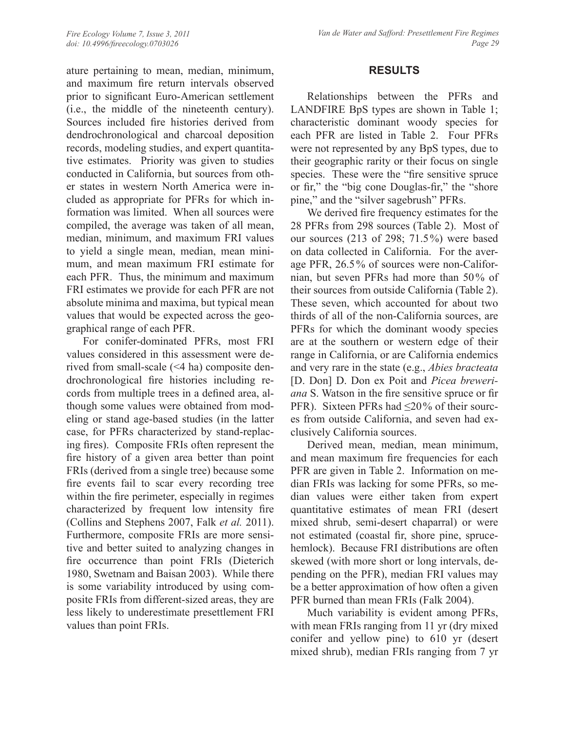ature pertaining to mean, median, minimum, and maximum fire return intervals observed prior to significant Euro-American settlement (i.e., the middle of the nineteenth century). Sources included fire histories derived from dendrochronological and charcoal deposition records, modeling studies, and expert quantitative estimates. Priority was given to studies conducted in California, but sources from other states in western North America were included as appropriate for PFRs for which information was limited. When all sources were compiled, the average was taken of all mean, median, minimum, and maximum FRI values to yield a single mean, median, mean minimum, and mean maximum FRI estimate for each PFR. Thus, the minimum and maximum FRI estimates we provide for each PFR are not absolute minima and maxima, but typical mean values that would be expected across the geographical range of each PFR.

For conifer-dominated PFRs, most FRI values considered in this assessment were derived from small-scale (<4 ha) composite dendrochronological fire histories including records from multiple trees in a defined area, although some values were obtained from modeling or stand age-based studies (in the latter case, for PFRs characterized by stand-replacing fires). Composite FRIs often represent the fire history of a given area better than point FRIs (derived from a single tree) because some fire events fail to scar every recording tree within the fire perimeter, especially in regimes characterized by frequent low intensity fire (Collins and Stephens 2007, Falk *et al.* 2011). Furthermore, composite FRIs are more sensitive and better suited to analyzing changes in fire occurrence than point FRIs (Dieterich 1980, Swetnam and Baisan 2003). While there is some variability introduced by using composite FRIs from different-sized areas, they are less likely to underestimate presettlement FRI values than point FRIs.

# **RESULTS**

Relationships between the PFRs and LANDFIRE BpS types are shown in Table 1; characteristic dominant woody species for each PFR are listed in Table 2. Four PFRs were not represented by any BpS types, due to their geographic rarity or their focus on single species. These were the "fire sensitive spruce or fir," the "big cone Douglas-fir," the "shore pine," and the "silver sagebrush" PFRs.

We derived fire frequency estimates for the 28 PFRs from 298 sources (Table 2). Most of our sources (213 of 298; 71.5%) were based on data collected in California. For the average PFR, 26.5% of sources were non-Californian, but seven PFRs had more than 50% of their sources from outside California (Table 2). These seven, which accounted for about two thirds of all of the non-California sources, are PFRs for which the dominant woody species are at the southern or western edge of their range in California, or are California endemics and very rare in the state (e.g., *Abies bracteata* [D. Don] D. Don ex Poit and *Picea breweriana* S. Watson in the fire sensitive spruce or fir PFR). Sixteen PFRs had  $\leq$ 20% of their sources from outside California, and seven had exclusively California sources.

Derived mean, median, mean minimum, and mean maximum fire frequencies for each PFR are given in Table 2. Information on median FRIs was lacking for some PFRs, so median values were either taken from expert quantitative estimates of mean FRI (desert mixed shrub, semi-desert chaparral) or were not estimated (coastal fir, shore pine, sprucehemlock). Because FRI distributions are often skewed (with more short or long intervals, depending on the PFR), median FRI values may be a better approximation of how often a given PFR burned than mean FRIs (Falk 2004).

Much variability is evident among PFRs, with mean FRIs ranging from 11 yr (dry mixed) conifer and yellow pine) to 610 yr (desert mixed shrub), median FRIs ranging from 7 yr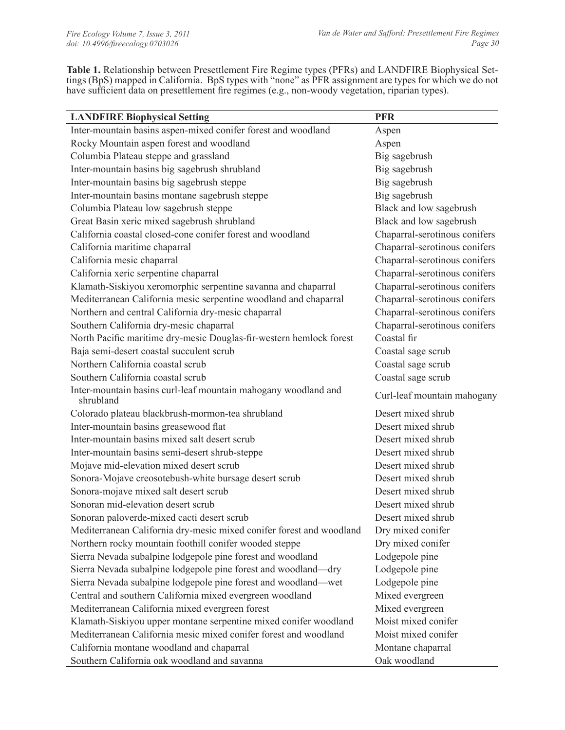**Table 1.** Relationship between Presettlement Fire Regime types (PFRs) and LANDFIRE Biophysical Settings (BpS) mapped in California. BpS types with "none" as PFR assignment are types for which we do not have sufficient data on presettlement fire regimes (e.g., non-woody vegetation, riparian types).

| <b>LANDFIRE Biophysical Setting</b>                                         | <b>PFR</b>                    |
|-----------------------------------------------------------------------------|-------------------------------|
| Inter-mountain basins aspen-mixed conifer forest and woodland               | Aspen                         |
| Rocky Mountain aspen forest and woodland                                    | Aspen                         |
| Columbia Plateau steppe and grassland                                       | Big sagebrush                 |
| Inter-mountain basins big sagebrush shrubland                               | Big sagebrush                 |
| Inter-mountain basins big sagebrush steppe                                  | Big sagebrush                 |
| Inter-mountain basins montane sagebrush steppe                              | Big sagebrush                 |
| Columbia Plateau low sagebrush steppe                                       | Black and low sagebrush       |
| Great Basin xeric mixed sagebrush shrubland                                 | Black and low sagebrush       |
| California coastal closed-cone conifer forest and woodland                  | Chaparral-serotinous conifers |
| California maritime chaparral                                               | Chaparral-serotinous conifers |
|                                                                             |                               |
| California mesic chaparral                                                  | Chaparral-serotinous conifers |
| California xeric serpentine chaparral                                       | Chaparral-serotinous conifers |
| Klamath-Siskiyou xeromorphic serpentine savanna and chaparral               | Chaparral-serotinous conifers |
| Mediterranean California mesic serpentine woodland and chaparral            | Chaparral-serotinous conifers |
| Northern and central California dry-mesic chaparral                         | Chaparral-serotinous conifers |
| Southern California dry-mesic chaparral                                     | Chaparral-serotinous conifers |
| North Pacific maritime dry-mesic Douglas-fir-western hemlock forest         | Coastal fir                   |
| Baja semi-desert coastal succulent scrub                                    | Coastal sage scrub            |
| Northern California coastal scrub                                           | Coastal sage scrub            |
| Southern California coastal scrub                                           | Coastal sage scrub            |
| Inter-mountain basins curl-leaf mountain mahogany woodland and<br>shrubland | Curl-leaf mountain mahogany   |
| Colorado plateau blackbrush-mormon-tea shrubland                            | Desert mixed shrub            |
| Inter-mountain basins greasewood flat                                       | Desert mixed shrub            |
| Inter-mountain basins mixed salt desert scrub                               | Desert mixed shrub            |
| Inter-mountain basins semi-desert shrub-steppe                              | Desert mixed shrub            |
| Mojave mid-elevation mixed desert scrub                                     | Desert mixed shrub            |
| Sonora-Mojave creosotebush-white bursage desert scrub                       | Desert mixed shrub            |
| Sonora-mojave mixed salt desert scrub                                       | Desert mixed shrub            |
| Sonoran mid-elevation desert scrub                                          | Desert mixed shrub            |
| Sonoran paloverde-mixed cacti desert scrub                                  | Desert mixed shrub            |
| Mediterranean California dry-mesic mixed conifer forest and woodland        | Dry mixed conifer             |
| Northern rocky mountain foothill conifer wooded steppe                      | Dry mixed conifer             |
| Sierra Nevada subalpine lodgepole pine forest and woodland                  | Lodgepole pine                |
| Sierra Nevada subalpine lodgepole pine forest and woodland—dry              | Lodgepole pine                |
| Sierra Nevada subalpine lodgepole pine forest and woodland—wet              | Lodgepole pine                |
| Central and southern California mixed evergreen woodland                    | Mixed evergreen               |
| Mediterranean California mixed evergreen forest                             | Mixed evergreen               |
| Klamath-Siskiyou upper montane serpentine mixed conifer woodland            | Moist mixed conifer           |
| Mediterranean California mesic mixed conifer forest and woodland            | Moist mixed conifer           |
| California montane woodland and chaparral                                   | Montane chaparral             |
| Southern California oak woodland and savanna                                | Oak woodland                  |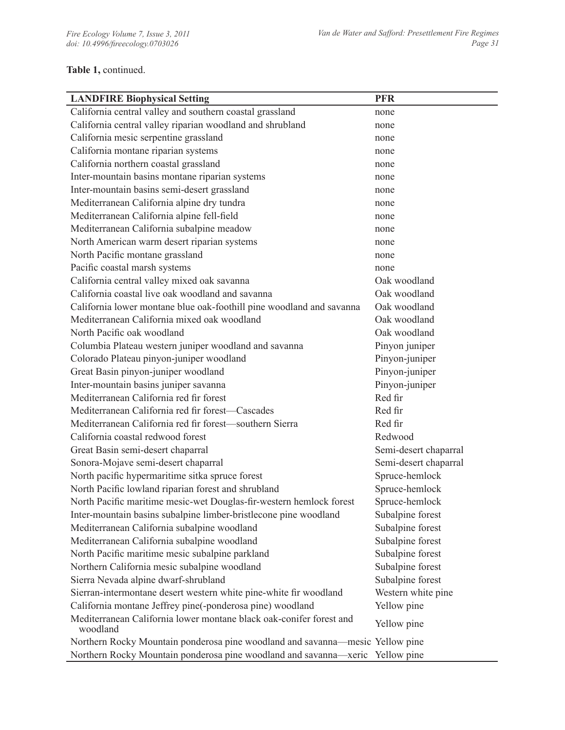# **Table 1,** continued.

| <b>LANDFIRE Biophysical Setting</b>                                             | <b>PFR</b>            |
|---------------------------------------------------------------------------------|-----------------------|
| California central valley and southern coastal grassland                        | none                  |
| California central valley riparian woodland and shrubland                       | none                  |
| California mesic serpentine grassland                                           | none                  |
| California montane riparian systems                                             | none                  |
| California northern coastal grassland                                           | none                  |
| Inter-mountain basins montane riparian systems                                  | none                  |
| Inter-mountain basins semi-desert grassland                                     | none                  |
| Mediterranean California alpine dry tundra                                      | none                  |
| Mediterranean California alpine fell-field                                      | none                  |
| Mediterranean California subalpine meadow                                       | none                  |
| North American warm desert riparian systems                                     | none                  |
| North Pacific montane grassland                                                 | none                  |
| Pacific coastal marsh systems                                                   | none                  |
| California central valley mixed oak savanna                                     | Oak woodland          |
| California coastal live oak woodland and savanna                                | Oak woodland          |
| California lower montane blue oak-foothill pine woodland and savanna            | Oak woodland          |
| Mediterranean California mixed oak woodland                                     | Oak woodland          |
| North Pacific oak woodland                                                      | Oak woodland          |
| Columbia Plateau western juniper woodland and savanna                           | Pinyon juniper        |
| Colorado Plateau pinyon-juniper woodland                                        | Pinyon-juniper        |
| Great Basin pinyon-juniper woodland                                             | Pinyon-juniper        |
| Inter-mountain basins juniper savanna                                           | Pinyon-juniper        |
| Mediterranean California red fir forest                                         | Red fir               |
| Mediterranean California red fir forest-Cascades                                | Red fir               |
| Mediterranean California red fir forest-southern Sierra                         | Red fir               |
| California coastal redwood forest                                               | Redwood               |
| Great Basin semi-desert chaparral                                               | Semi-desert chaparral |
| Sonora-Mojave semi-desert chaparral                                             | Semi-desert chaparral |
| North pacific hypermaritime sitka spruce forest                                 | Spruce-hemlock        |
| North Pacific lowland riparian forest and shrubland                             | Spruce-hemlock        |
| North Pacific maritime mesic-wet Douglas-fir-western hemlock forest             | Spruce-hemlock        |
| Inter-mountain basins subalpine limber-bristlecone pine woodland                | Subalpine forest      |
| Mediterranean California subalpine woodland                                     | Subalpine forest      |
| Mediterranean California subalpine woodland                                     | Subalpine forest      |
| North Pacific maritime mesic subalpine parkland                                 | Subalpine forest      |
| Northern California mesic subalpine woodland                                    | Subalpine forest      |
| Sierra Nevada alpine dwarf-shrubland                                            | Subalpine forest      |
| Sierran-intermontane desert western white pine-white fir woodland               | Western white pine    |
| California montane Jeffrey pine(-ponderosa pine) woodland                       | Yellow pine           |
| Mediterranean California lower montane black oak-conifer forest and<br>woodland | Yellow pine           |
| Northern Rocky Mountain ponderosa pine woodland and savanna—mesic Yellow pine   |                       |
| Northern Rocky Mountain ponderosa pine woodland and savanna—xeric Yellow pine   |                       |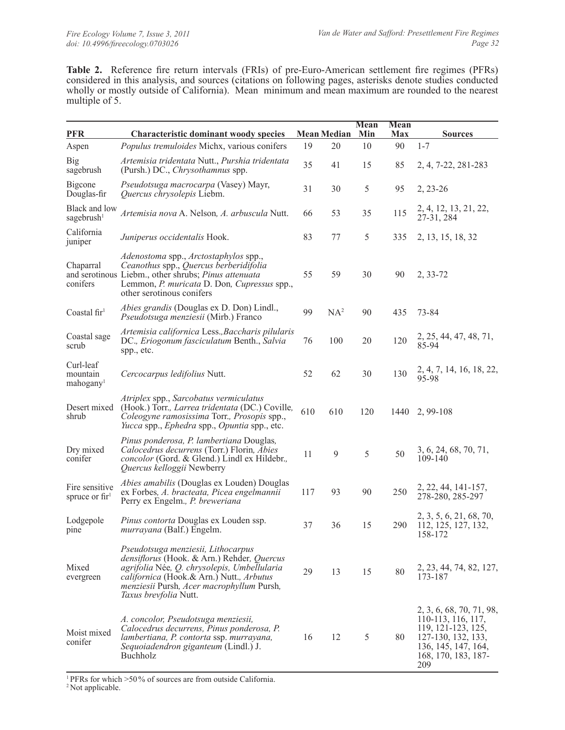**Table 2.** Reference fire return intervals (FRIs) of pre-Euro-American settlement fire regimes (PFRs) considered in this analysis, and sources (citations on following pages, asterisks denote studies conducted wholly or mostly outside of California). Mean minimum and mean maximum are rounded to the nearest multiple of 5.

| <b>PFR</b>                                     | <b>Characteristic dominant woody species</b>                                                                                                                                                                                                      |     | <b>Mean Median</b> | Mean<br>Min | <b>Mean</b><br><b>Max</b> | <b>Sources</b>                                                                                                                                  |
|------------------------------------------------|---------------------------------------------------------------------------------------------------------------------------------------------------------------------------------------------------------------------------------------------------|-----|--------------------|-------------|---------------------------|-------------------------------------------------------------------------------------------------------------------------------------------------|
| Aspen                                          | Populus tremuloides Michx, various conifers                                                                                                                                                                                                       | 19  | 20                 | 10          | 90                        | $1 - 7$                                                                                                                                         |
| Big<br>sagebrush                               | Artemisia tridentata Nutt., Purshia tridentata<br>(Pursh.) DC., <i>Chrysothamnus</i> spp.                                                                                                                                                         | 35  | 41                 | 15          | 85                        | 2, 4, 7-22, 281-283                                                                                                                             |
| <b>Bigcone</b><br>Douglas-fir                  | Pseudotsuga macrocarpa (Vasey) Mayr,<br>Quercus chrysolepis Liebm.                                                                                                                                                                                | 31  | 30                 | 5           | 95                        | $2, 23 - 26$                                                                                                                                    |
| Black and low<br>sagebrush <sup>1</sup>        | Artemisia nova A. Nelson, A. arbuscula Nutt.                                                                                                                                                                                                      | 66  | 53                 | 35          | 115                       | 2, 4, 12, 13, 21, 22,<br>27-31, 284                                                                                                             |
| California<br>juniper                          | Juniperus occidentalis Hook.                                                                                                                                                                                                                      | 83  | 77                 | 5           | 335                       | 2, 13, 15, 18, 32                                                                                                                               |
| Chaparral<br>conifers                          | Adenostoma spp., Arctostaphylos spp.,<br>Ceanothus spp., Quercus berberidifolia<br>and serotinous Liebm., other shrubs; Pinus attenuata<br>Lemmon, P. muricata D. Don, Cupressus spp.,<br>other serotinous conifers                               | 55  | 59                 | 30          | 90                        | 2, 33-72                                                                                                                                        |
| Coastal $\operatorname{fir}^1$                 | Abies grandis (Douglas ex D. Don) Lindl.,<br>Pseudotsuga menziesii (Mirb.) Franco                                                                                                                                                                 | 99  | NA <sup>2</sup>    | 90          | 435                       | 73-84                                                                                                                                           |
| Coastal sage<br>scrub                          | Artemisia californica Less., Baccharis pilularis<br>DC., Eriogonum fasciculatum Benth., Salvia<br>spp., etc.                                                                                                                                      | 76  | 100                | 20          | 120                       | 2, 25, 44, 47, 48, 71,<br>85-94                                                                                                                 |
| Curl-leaf<br>mountain<br>mahogany <sup>1</sup> | Cercocarpus ledifolius Nutt.                                                                                                                                                                                                                      | 52  | 62                 | 30          | 130                       | 2, 4, 7, 14, 16, 18, 22,<br>95-98                                                                                                               |
| Desert mixed<br>shrub                          | Atriplex spp., Sarcobatus vermiculatus<br>(Hook.) Torr., Larrea tridentata (DC.) Coville,<br>Coleogyne ramosissima Torr., Prosopis spp.,<br>Yucca spp., Ephedra spp., Opuntia spp., etc.                                                          | 610 | 610                | 120         | 1440                      | 2, 99-108                                                                                                                                       |
| Dry mixed<br>conifer                           | Pinus ponderosa, P. lambertiana Douglas,<br>Calocedrus decurrens (Torr.) Florin, Abies<br>concolor (Gord. & Glend.) Lindl ex Hildebr.,<br>Quercus kelloggii Newberry                                                                              | 11  | $\mathbf{9}$       | 5           | 50                        | 3, 6, 24, 68, 70, 71,<br>109-140                                                                                                                |
| Fire sensitive<br>spruce or fir <sup>1</sup>   | Abies amabilis (Douglas ex Louden) Douglas<br>ex Forbes, A. bracteata, Picea engelmannii<br>Perry ex Engelm., P. breweriana                                                                                                                       | 117 | 93                 | 90          | 250                       | 2, 22, 44, 141-157,<br>278-280, 285-297                                                                                                         |
| Lodgepole<br>pine                              | Pinus contorta Douglas ex Louden ssp.<br>murrayana (Balf.) Engelm.                                                                                                                                                                                | 37  | 36                 | 15          | 290                       | 2, 3, 5, 6, 21, 68, 70,<br>112, 125, 127, 132,<br>158-172                                                                                       |
| Mixed<br>evergreen                             | Pseudotsuga menziesii, Lithocarpus<br>densiflorus (Hook. & Arn.) Rehder, Quercus<br>agrifolia Née, Q. chrysolepis, Umbellularia<br>californica (Hook.& Arn.) Nutt., Arbutus<br>menziesii Pursh, Acer macrophyllum Pursh,<br>Taxus brevfolia Nutt. | 29  | 13                 | 15          | 80                        | 2, 23, 44, 74, 82, 127,<br>173-187                                                                                                              |
| Moist mixed<br>conifer                         | A. concolor, Pseudotsuga menziesii,<br>Calocedrus decurrens, Pinus ponderosa, P.<br>lambertiana, P. contorta ssp. murrayana,<br>Sequoiadendron giganteum (Lindl.) J.<br>Buchholz                                                                  | 16  | 12                 | 5           | 80                        | 2, 3, 6, 68, 70, 71, 98,<br>110-113, 116, 117,<br>119, 121-123, 125,<br>127-130, 132, 133,<br>136, 145, 147, 164,<br>168, 170, 183, 187-<br>209 |

<sup>1</sup>PFRs for which >50% of sources are from outside California. 2 Not applicable.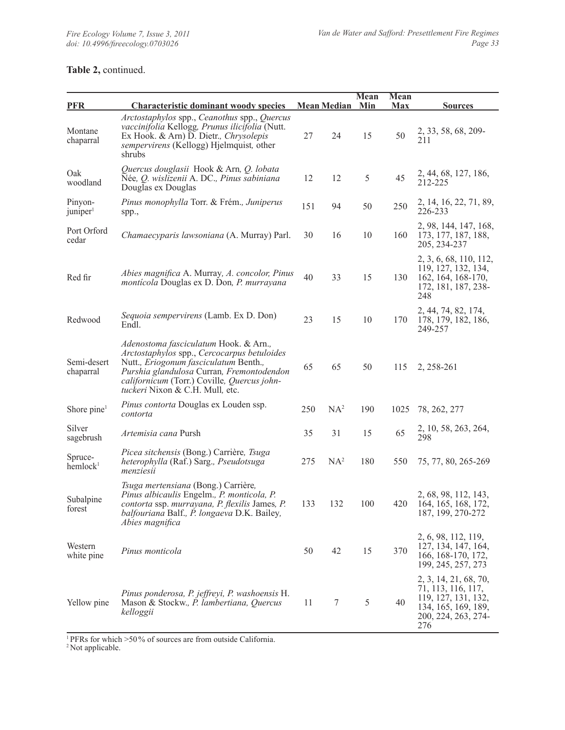### **Table 2,** continued.

| <b>PFR</b>                      | <b>Characteristic dominant woody species</b>                                                                                                                                                                                                                 |     | <b>Mean Median</b> | <b>Mean</b><br>Min | <b>Mean</b><br><b>Max</b> | <b>Sources</b>                                                                                                          |
|---------------------------------|--------------------------------------------------------------------------------------------------------------------------------------------------------------------------------------------------------------------------------------------------------------|-----|--------------------|--------------------|---------------------------|-------------------------------------------------------------------------------------------------------------------------|
| Montane<br>chaparral            | Arctostaphylos spp., Ceanothus spp., Quercus<br>vaccinifolia Kellogg, Prunus ilicifolia (Nutt.<br>Ex Hook. & Arn) D. Dietr., Chrysolepis<br>sempervirens (Kellogg) Hjelmquist, other<br>shrubs                                                               | 27  | 24                 | 15                 | 50                        | 2, 33, 58, 68, 209-<br>211                                                                                              |
| Oak<br>woodland                 | Quercus douglasii Hook & Arn, Q. lobata<br>Née, Q. wislizenii A. DC., Pinus sabiniana<br>Douglas ex Douglas                                                                                                                                                  | 12  | 12                 | 5                  | 45                        | 2, 44, 68, 127, 186,<br>212-225                                                                                         |
| Pinyon-<br>juniper <sup>1</sup> | Pinus monophylla Torr. & Frém., Juniperus<br>spp.,                                                                                                                                                                                                           | 151 | 94                 | 50                 | 250                       | 2, 14, 16, 22, 71, 89,<br>226-233                                                                                       |
| Port Orford<br>cedar            | Chamaecyparis lawsoniana (A. Murray) Parl.                                                                                                                                                                                                                   | 30  | 16                 | 10                 | 160                       | 2, 98, 144, 147, 168,<br>173, 177, 187, 188,<br>205, 234-237                                                            |
| Red fir                         | Abies magnifica A. Murray, A. concolor, Pinus<br>montícola Douglas ex D. Don, P. murrayana                                                                                                                                                                   | 40  | 33                 | 15                 | 130                       | 2, 3, 6, 68, 110, 112,<br>119, 127, 132, 134,<br>162, 164, 168-170,<br>172, 181, 187, 238-<br>248                       |
| Redwood                         | Sequoia sempervirens (Lamb. Ex D. Don)<br>Endl.                                                                                                                                                                                                              | 23  | 15                 | 10                 | 170                       | 2, 44, 74, 82, 174,<br>178, 179, 182, 186,<br>249-257                                                                   |
| Semi-desert<br>chaparral        | Adenostoma fasciculatum Hook. & Arn.,<br>Arctostaphylos spp., Cercocarpus betuloides<br>Nutt., Eriogonum fasciculatum Benth.,<br>Purshia glandulosa Curran, Fremontodendon<br>californicum (Torr.) Coville, Quercus john-<br>tuckeri Nixon & C.H. Mull, etc. | 65  | 65                 | 50                 | 115                       | 2, 258-261                                                                                                              |
| Shore pine <sup>1</sup>         | Pinus contorta Douglas ex Louden ssp.<br>contorta                                                                                                                                                                                                            | 250 | NA <sup>2</sup>    | 190                | 1025                      | 78, 262, 277                                                                                                            |
| Silver<br>sagebrush             | Artemisia cana Pursh                                                                                                                                                                                                                                         | 35  | 31                 | 15                 | 65                        | 2, 10, 58, 263, 264,<br>298                                                                                             |
| Spruce-<br>hemlock <sup>1</sup> | Picea sitchensis (Bong.) Carrière, Tsuga<br>heterophylla (Raf.) Sarg., Pseudotsuga<br>menziesii                                                                                                                                                              | 275 | NA <sup>2</sup>    | 180                | 550                       | 75, 77, 80, 265-269                                                                                                     |
| Subalpine<br>forest             | Tsuga mertensiana (Bong.) Carrière,<br>Pinus albicaulis Engelm., P. monticola, P.<br>contorta ssp. murrayana, P. flexilis James, P.<br>balfouriana Balf., P. longaeva D.K. Bailey,<br>Abies magnifica                                                        | 133 | 132                | 100                | 420                       | 2, 68, 98, 112, 143,<br>164, 165, 168, 172,<br>187, 199, 270-272                                                        |
| Western<br>white pine           | Pinus monticola                                                                                                                                                                                                                                              | 50  | 42                 | 15                 | 370                       | 2, 6, 98, 112, 119,<br>127, 134, 147, 164,<br>166, 168-170, 172,<br>199, 245, 257, 273                                  |
| Yellow pine                     | Pinus ponderosa, P. jeffreyi, P. washoensis H.<br>Mason & Stockw., P. lambertiana, Quercus<br>kelloggii                                                                                                                                                      | 11  | 7                  | 5                  | 40                        | 2, 3, 14, 21, 68, 70,<br>71, 113, 116, 117,<br>119, 127, 131, 132,<br>134, 165, 169, 189,<br>200, 224, 263, 274-<br>276 |

<sup>1</sup> PFRs for which >50% of sources are from outside California.<sup>2</sup> Not applicable.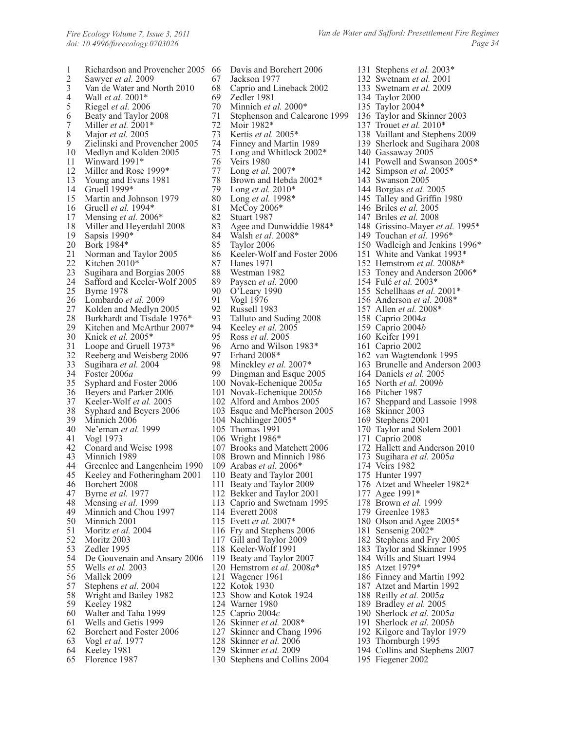Richardson and Provencher 2005 Sawyer *et al.* 2009 3 Van de Water and North 2010<br>4 Wall *et al.* 2001<sup>\*</sup> Wall *et al.* 2001\* Riegel *et al.* 2006 6 Beaty and Taylor 2008<br>7 Miller *et al* 2001\* 7 Miller *et al.* 2001\*<br>8 Maior *et al.* 2005 Major *et al.* 2005 9 Zielinski and Provencher 2005<br>10 Medlyn and Kolden 2005 Medlyn and Kolden 2005 Winward 1991\* 12 Miller and Rose 1999\*<br>13 Young and Evans 1981 Young and Evans 1981 Gruell 1999\* 15 Martin and Johnson 1979<br>16 Gruell *et al.* 1994\* Gruell *et al.* 1994\* 17 Mensing *et al.* 2006\*<br>18 Miller and Heverdahl 18 Miller and Heyerdahl 2008<br>19 Sapsis 1990\* Sapsis 1990\* 20 Bork 1984\*<br>21 Norman and 21 Norman and Taylor 2005<br>22 Kitchen 2010\* 22 Kitchen 2010\*<br>23 Sugihara and E Sugihara and Borgias 2005 24 Safford and Keeler-Wolf 2005<br>25 Byrne 1978 Byrne 1978<br>26 Lombardo e Lombardo *et al.* 2009 27 Kolden and Medlyn 2005<br>28 Burkhardt and Tisdale 197 28 Burkhardt and Tisdale 1976\*<br>29 Kitchen and McArthur 2007\* 29 Kitchen and McArthur 2007\*<br>30 Knick *et al* 2005\* Knick *et al.* 2005\* 31 Loope and Gruell 1973\*<br>32 Reeberg and Weisberg 20 32 Reeberg and Weisberg 2006<br>33 Sugihara et al. 2004 Sugihara *et al.* 2004 Foster 2006*a* Syphard and Foster 2006 36 Beyers and Parker 2006<br>37 Keeler-Wolf *et al.* 2005 Keeler-Wolf *et al.* 2005 Syphard and Beyers 2006 39 Minnich 2006<br>40 Ne'eman *et al.*  Ne'eman *et al.* 1999 Vogl 1973 Conard and Weise 1998 Minnich 1989 44 Greenlee and Langenheim 1990<br>45 Keeley and Fotheringham 2001 Keeley and Fotheringham 2001 Borchert 2008 Byrne *et al.* 1977 Mensing *et al.* 1999 49 Minnich and Chou 1997<br>50 Minnich 2001 50 Minnich 2001<br>51 Moritz et al. 2 Moritz *et al.* 2004 Moritz 2003 53 Zedler 1995<br>54 De Gouvena 54 De Gouvenain and Ansary 2006<br>55 Wells *et al.* 2003 Wells *et al.* 2003 Mallek 2009 Stephens *et al.* 2004 58 Wright and Bailey 1982<br>59 Keeley 1982 59 Keeley 1982<br>60 Walter and T 60 Walter and Taha 1999<br>61 Wells and Getis 1999 61 Wells and Getis 1999<br>62 Borchert and Foster 2 Borchert and Foster 2006 Vogl *et al.* 1977 Keeley 1981 Florence 1987

- Davis and Borchert 2006 Jackson 1977 68 Caprio and Lineback 2002<br>69 Zedler 1981 69 Zedler 1981<br>70 Minnich et a 70 Minnich *et al.* 2000\*<br>71 Stephenson and Calca Stephenson and Calcarone 1999 72 Moir 1982\*<br>73 Kertis *et al.*  Kertis *et al.* 2005\* 74 Finney and Martin 1989<br>75 Long and Whitlock 2002 Long and Whitlock 2002\* 76 Veirs 1980<br>77 Long *et al.*  Long *et al.* 2007\* 78 Brown and Hebda 2002\*<br>79 Long *et al.* 2010\* Long *et al.* 2010\* Long *et al.* 1998\* 81 McCoy 2006\*<br>82 Stuart 1987 82 Stuart 1987<br>83 Agee and D 83 Agee and Dunwiddie 1984\*<br>84 Walsh *et al.* 2008\* Walsh *et al.* 2008\* Taylor 2006 86 Keeler-Wolf and Foster 2006<br>87 Hanes 1971 87 Hanes 1971<br>88 Westman 19 Westman 1982 Paysen *et al.* 2000 90 O'Leary 1990<br>91 Vogl 1976 91 Vogl 1976<br>92 Russell 19 92 Russell 1983<br>93 Talluto and S 93 Talluto and Suding 2008<br>94 Keeley *et al.* 2005 Keeley *et al.* 2005 Ross *et al.* 2005 96 Arno and Wilson 1983\*<br>97 Erhard 2008\* 97 Erhard 2008\*<br>98 Minckley *et a* 98 Minckley *et al.* 2007\*<br>99 Dingman and Esque 2 Dingman and Esque 2005 Novak-Echenique 2005*a* Novak-Echenique 2005*b* Alford and Ambos 2005 Esque and McPherson 2005 Nachlinger 2005\* Thomas 1991 Wright 1986\* Brooks and Matchett 2006 Brown and Minnich 1986 Arabas *et al.* 2006\* Beaty and Taylor 2001 Beaty and Taylor 2009 Bekker and Taylor 2001 Caprio and Swetnam 1995 Everett 2008 Evett *et al.* 2007\* 116 Fry and Stephens 2006<br>117 Gill and Taylor 2009 Gill and Taylor 2009 Keeler-Wolf 1991 Beaty and Taylor 2007 Hemstrom *et al.* 2008*a*\* Wagener 1961 Kotok 1930 Show and Kotok 1924 Warner 1980 Caprio 2004*c* Skinner *et al.* 2008\* Skinner and Chang 1996 Skinner *et al.* 2006 Skinner *et al.* 2009
- Stephens and Collins 2004

 Stephens *et al.* 2003\* Swetnam *et al.* 2001 Swetnam *et al.* 2009 Taylor 2000 Taylor 2004\* Taylor and Skinner 2003 Trouet *et al.* 2010\* Vaillant and Stephens 2009 Sherlock and Sugihara 2008 Gassaway 2005 Powell and Swanson 2005\* Simpson *et al.* 2005\* Swanson 2005 Borgias *et al.* 2005 Talley and Griffin 1980 Briles *et al.* 2005 Briles *et al.* 2008 Grissino-Mayer *et al.* 1995\* Touchan *et al.* 1996\* Wadleigh and Jenkins 1996\* White and Vankat 1993\* Hemstrom *et al.* 2008*b*\* Toney and Anderson 2006\* Fulé *et al.* 2003\* Schellhaas *et al.* 2001\* Anderson *et al.* 2008\* Allen *et al.* 2008\* Caprio 2004*a* Caprio 2004*b* Keifer 1991 Caprio 2002 162 van Wagtendonk 1995<br>163 Brunelle and Anderson Brunelle and Anderson 2003 Daniels *et al.* 2005 North *et al.* 2009*b* Pitcher 1987 Sheppard and Lassoie 1998 Skinner 2003 Stephens 2001 Taylor and Solem 2001 Caprio 2008 Hallett and Anderson 2010 Sugihara *et al.* 2005*a* Veirs 1982 Hunter 1997 Atzet and Wheeler 1982\* Agee 1991\* Brown *et al.* 1999 Greenlee 1983 180 Olson and Agee 2005\*<br>181 Sensenig 2002\* 181 Sensenig 2002\*<br>182 Stephens and Fi Stephens and Fry 2005 Taylor and Skinner 1995 Wills and Stuart 1994 Atzet 1979\* Finney and Martin 1992 Atzet and Martin 1992 Reilly *et al.* 2005*a* Bradley *et al.* 2005 Sherlock *et al.* 2005*a* Sherlock *et al.* 2005*b* Kilgore and Taylor 1979 Thornburgh 1995

- Collins and Stephens 2007
- Fiegener 2002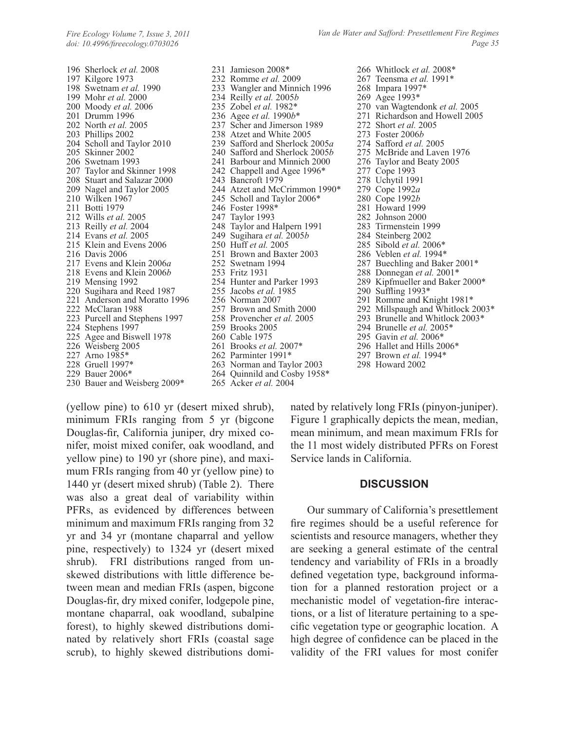| 196 | Sherlock et al. 2008           |
|-----|--------------------------------|
| 197 | Kilgore 1973                   |
| 198 | Swetnam et al. 1990            |
| 199 | Mohr et al. 2000               |
| 200 | Moody et al. 2006              |
| 201 | Drumm 1996                     |
| 202 | North et al. 2005              |
| 203 | Phillips 2002                  |
| 204 | Scholl and Taylor 2010         |
| 205 | Skinner 2002                   |
|     | 206 Swetnam 1993               |
|     | 207 Taylor and Skinner 1998    |
| 208 | <b>Stuart and Salazar 2000</b> |
| 209 | Nagel and Taylor 2005          |
| 210 | Wilken 1967                    |
| 211 | <b>Botti 1979</b>              |
| 212 | Wills et al. 2005              |
| 213 | Reilly et al. 2004             |
| 214 | Evans et al. 2005              |
| 215 | Klein and Evens 2006           |
| 216 | Davis 2006                     |
| 217 | Evens and Klein 2006a          |
| 218 | Evens and Klein 2006b          |
| 219 | Mensing 1992                   |
| 220 | Sugihara and Reed 1987         |
| 221 | Anderson and Moratto 1996      |
| 222 | McClaran 1988                  |
| 223 | Purcell and Stephens 1997      |
| 224 | Stephens 1997                  |
| 225 | Agee and Biswell 1978          |
| 226 | Weisberg 2005                  |
| 227 | Arno 1985*                     |
| 228 | Gruell 1997*                   |
| 229 | Bauer 2006*                    |
|     |                                |

Bauer and Weisberg 2009\*

(yellow pine) to 610 yr (desert mixed shrub), minimum FRIs ranging from 5 yr (bigcone Douglas-fir, California juniper, dry mixed conifer, moist mixed conifer, oak woodland, and yellow pine) to 190 yr (shore pine), and maximum FRIs ranging from 40 yr (yellow pine) to 1440 yr (desert mixed shrub) (Table 2). There was also a great deal of variability within PFRs, as evidenced by differences between minimum and maximum FRIs ranging from 32 yr and 34 yr (montane chaparral and yellow pine, respectively) to 1324 yr (desert mixed shrub). FRI distributions ranged from unskewed distributions with little difference between mean and median FRIs (aspen, bigcone Douglas-fir, dry mixed conifer, lodgepole pine, montane chaparral, oak woodland, subalpine forest), to highly skewed distributions dominated by relatively short FRIs (coastal sage scrub), to highly skewed distributions domi-

 Jamieson 2008\* Romme *et al.* 2009 Wangler and Minnich 1996 Reilly *et al.* 2005*b* Zobel *et al.* 1982\* Agee *et al.* 1990*b*\* Scher and Jimerson 1989 Atzet and White 2005 Safford and Sherlock 2005*a* Safford and Sherlock 2005*b* Barbour and Minnich 2000 Chappell and Agee 1996\* Bancroft 1979 Atzet and McCrimmon 1990\* Scholl and Taylor 2006\* Foster 1998\* Taylor 1993 Taylor and Halpern 1991 Sugihara *et al.* 2005*b* Huff *et al.* 2005 Brown and Baxter 2003 Swetnam 1994 Fritz 1931 Hunter and Parker 1993 Jacobs *et al.* 1985 Norman 2007 Brown and Smith 2000 Provencher *et al.* 2005 Brooks 2005 Cable 1975 Brooks *et al.* 2007\* Parminter 1991\* Norman and Taylor 2003 Quinnild and Cosby 1958\* Acker *et al.* 2004

 Whitlock *et al.* 2008\* Teensma *et al.* 1991\* Impara 1997\* Agee 1993\* van Wagtendonk *et al.* 2005 Richardson and Howell 2005 Short *et al.* 2005 Foster 2006*b* Safford *et al.* 2005 McBride and Laven 1976 Taylor and Beaty 2005 Cope 1993 Uchytil 1991 Cope 1992*a* Cope 1992*b* Howard 1999 Johnson 2000 Tirmenstein 1999 Steinberg 2002 Sibold *et al.* 2006\* Veblen *et al.* 1994\* Buechling and Baker 2001\* Donnegan *et al.* 2001\* Kipfmueller and Baker 2000\* Suffling 1993\* Romme and Knight 1981\* Millspaugh and Whitlock 2003\* Brunelle and Whitlock 2003\* Brunelle *et al.* 2005\* Gavin *et al.* 2006\* Hallet and Hills 2006\* Brown *et al.* 1994\* Howard 2002

nated by relatively long FRIs (pinyon-juniper). Figure 1 graphically depicts the mean, median, mean minimum, and mean maximum FRIs for the 11 most widely distributed PFRs on Forest Service lands in California.

#### **DISCUSSION**

Our summary of California's presettlement fire regimes should be a useful reference for scientists and resource managers, whether they are seeking a general estimate of the central tendency and variability of FRIs in a broadly defined vegetation type, background information for a planned restoration project or a mechanistic model of vegetation-fire interactions, or a list of literature pertaining to a specific vegetation type or geographic location. A high degree of confidence can be placed in the validity of the FRI values for most conifer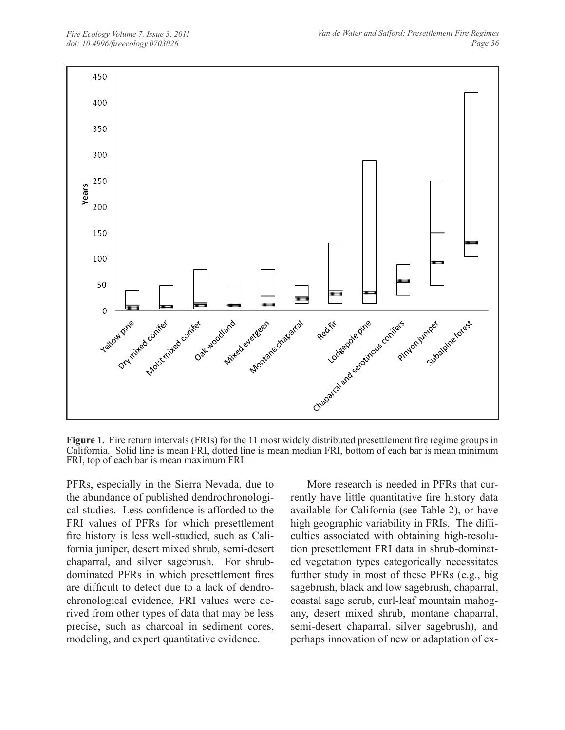

**Figure 1.** Fire return intervals (FRIs) for the 11 most widely distributed presettlement fire regime groups in California. Solid line is mean FRI, dotted line is mean median FRI, bottom of each bar is mean minimum FRI, top of each bar is mean maximum FRI.

PFRs, especially in the Sierra Nevada, due to the abundance of published dendrochronological studies. Less confidence is afforded to the FRI values of PFRs for which presettlement fire history is less well-studied, such as California juniper, desert mixed shrub, semi-desert chaparral, and silver sagebrush. For shrubdominated PFRs in which presettlement fires are difficult to detect due to a lack of dendrochronological evidence, FRI values were derived from other types of data that may be less precise, such as charcoal in sediment cores, modeling, and expert quantitative evidence.

More research is needed in PFRs that currently have little quantitative fire history data available for California (see Table 2), or have high geographic variability in FRIs. The difficulties associated with obtaining high-resolution presettlement FRI data in shrub-dominated vegetation types categorically necessitates further study in most of these PFRs (e.g., big sagebrush, black and low sagebrush, chaparral, coastal sage scrub, curl-leaf mountain mahogany, desert mixed shrub, montane chaparral, semi-desert chaparral, silver sagebrush), and perhaps innovation of new or adaptation of ex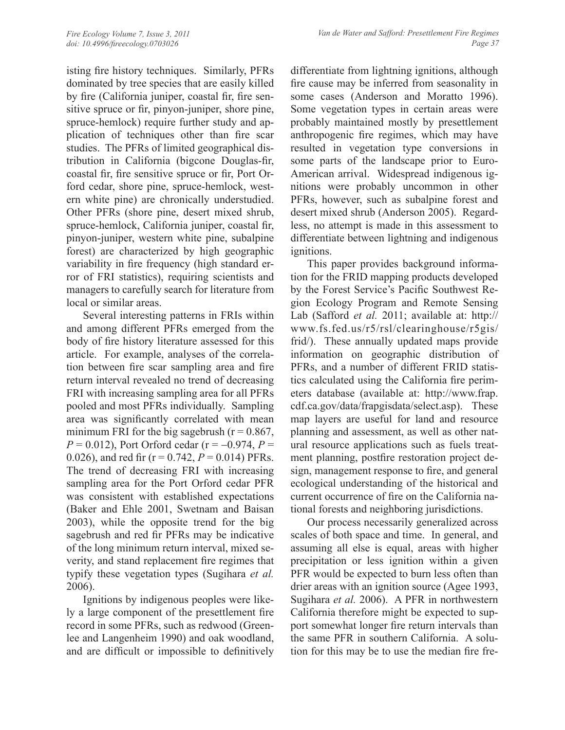isting fire history techniques. Similarly, PFRs dominated by tree species that are easily killed by fire (California juniper, coastal fir, fire sensitive spruce or fir, pinyon-juniper, shore pine, spruce-hemlock) require further study and application of techniques other than fire scar studies. The PFRs of limited geographical distribution in California (bigcone Douglas-fir, coastal fir, fire sensitive spruce or fir, Port Orford cedar, shore pine, spruce-hemlock, western white pine) are chronically understudied. Other PFRs (shore pine, desert mixed shrub, spruce-hemlock, California juniper, coastal fir, pinyon-juniper, western white pine, subalpine forest) are characterized by high geographic variability in fire frequency (high standard error of FRI statistics), requiring scientists and managers to carefully search for literature from local or similar areas.

Several interesting patterns in FRIs within and among different PFRs emerged from the body of fire history literature assessed for this article. For example, analyses of the correlation between fire scar sampling area and fire return interval revealed no trend of decreasing FRI with increasing sampling area for all PFRs pooled and most PFRs individually. Sampling area was significantly correlated with mean minimum FRI for the big sagebrush ( $r = 0.867$ , *P* = 0.012), Port Orford cedar (r = −0.974, *P* = 0.026), and red fir ( $r = 0.742$ ,  $P = 0.014$ ) PFRs. The trend of decreasing FRI with increasing sampling area for the Port Orford cedar PFR was consistent with established expectations (Baker and Ehle 2001, Swetnam and Baisan 2003), while the opposite trend for the big sagebrush and red fir PFRs may be indicative of the long minimum return interval, mixed severity, and stand replacement fire regimes that typify these vegetation types (Sugihara *et al.* 2006).

Ignitions by indigenous peoples were likely a large component of the presettlement fire record in some PFRs, such as redwood (Greenlee and Langenheim 1990) and oak woodland, and are difficult or impossible to definitively differentiate from lightning ignitions, although fire cause may be inferred from seasonality in some cases (Anderson and Moratto 1996). Some vegetation types in certain areas were probably maintained mostly by presettlement anthropogenic fire regimes, which may have resulted in vegetation type conversions in some parts of the landscape prior to Euro-American arrival. Widespread indigenous ignitions were probably uncommon in other PFRs, however, such as subalpine forest and desert mixed shrub (Anderson 2005). Regardless, no attempt is made in this assessment to differentiate between lightning and indigenous ignitions.

This paper provides background information for the FRID mapping products developed by the Forest Service's Pacific Southwest Region Ecology Program and Remote Sensing Lab (Safford *et al.* 2011; available at: http:// www.fs.fed.us/r5/rsl/clearinghouse/r5gis/ frid/). These annually updated maps provide information on geographic distribution of PFRs, and a number of different FRID statistics calculated using the California fire perimeters database (available at: http://www.frap. cdf.ca.gov/data/frapgisdata/select.asp). These map layers are useful for land and resource planning and assessment, as well as other natural resource applications such as fuels treatment planning, postfire restoration project design, management response to fire, and general ecological understanding of the historical and current occurrence of fire on the California national forests and neighboring jurisdictions.

Our process necessarily generalized across scales of both space and time. In general, and assuming all else is equal, areas with higher precipitation or less ignition within a given PFR would be expected to burn less often than drier areas with an ignition source (Agee 1993, Sugihara *et al.* 2006). A PFR in northwestern California therefore might be expected to support somewhat longer fire return intervals than the same PFR in southern California. A solution for this may be to use the median fire fre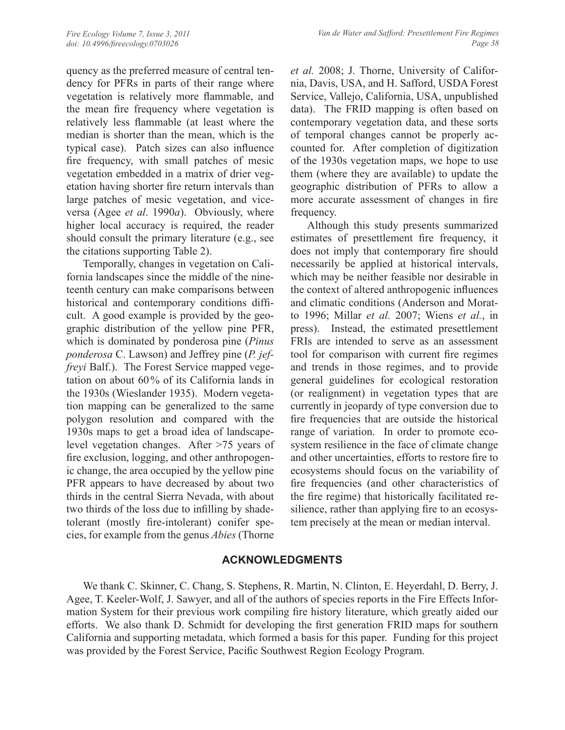quency as the preferred measure of central tendency for PFRs in parts of their range where vegetation is relatively more flammable, and the mean fire frequency where vegetation is relatively less flammable (at least where the median is shorter than the mean, which is the typical case). Patch sizes can also influence fire frequency, with small patches of mesic vegetation embedded in a matrix of drier vegetation having shorter fire return intervals than large patches of mesic vegetation, and viceversa (Agee *et al*. 1990*a*). Obviously, where higher local accuracy is required, the reader should consult the primary literature (e.g., see the citations supporting Table 2).

Temporally, changes in vegetation on California landscapes since the middle of the nineteenth century can make comparisons between historical and contemporary conditions difficult. A good example is provided by the geographic distribution of the yellow pine PFR, which is dominated by ponderosa pine (*Pinus ponderosa* C. Lawson) and Jeffrey pine (*P. jeffreyi* Balf.). The Forest Service mapped vegetation on about 60% of its California lands in the 1930s (Wieslander 1935). Modern vegetation mapping can be generalized to the same polygon resolution and compared with the 1930s maps to get a broad idea of landscapelevel vegetation changes. After >75 years of fire exclusion, logging, and other anthropogenic change, the area occupied by the yellow pine PFR appears to have decreased by about two thirds in the central Sierra Nevada, with about two thirds of the loss due to infilling by shadetolerant (mostly fire-intolerant) conifer species, for example from the genus *Abies* (Thorne

*et al.* 2008; J. Thorne, University of California, Davis, USA, and H. Safford, USDA Forest Service, Vallejo, California, USA, unpublished data). The FRID mapping is often based on contemporary vegetation data, and these sorts of temporal changes cannot be properly accounted for. After completion of digitization of the 1930s vegetation maps, we hope to use them (where they are available) to update the geographic distribution of PFRs to allow a more accurate assessment of changes in fire frequency.

Although this study presents summarized estimates of presettlement fire frequency, it does not imply that contemporary fire should necessarily be applied at historical intervals, which may be neither feasible nor desirable in the context of altered anthropogenic influences and climatic conditions (Anderson and Moratto 1996; Millar *et al.* 2007; Wiens *et al.*, in press). Instead, the estimated presettlement FRIs are intended to serve as an assessment tool for comparison with current fire regimes and trends in those regimes, and to provide general guidelines for ecological restoration (or realignment) in vegetation types that are currently in jeopardy of type conversion due to fire frequencies that are outside the historical range of variation. In order to promote ecosystem resilience in the face of climate change and other uncertainties, efforts to restore fire to ecosystems should focus on the variability of fire frequencies (and other characteristics of the fire regime) that historically facilitated resilience, rather than applying fire to an ecosystem precisely at the mean or median interval.

# **ACKNOWLEDGMENTS**

We thank C. Skinner, C. Chang, S. Stephens, R. Martin, N. Clinton, E. Heyerdahl, D. Berry, J. Agee, T. Keeler-Wolf, J. Sawyer, and all of the authors of species reports in the Fire Effects Information System for their previous work compiling fire history literature, which greatly aided our efforts. We also thank D. Schmidt for developing the first generation FRID maps for southern California and supporting metadata, which formed a basis for this paper. Funding for this project was provided by the Forest Service, Pacific Southwest Region Ecology Program.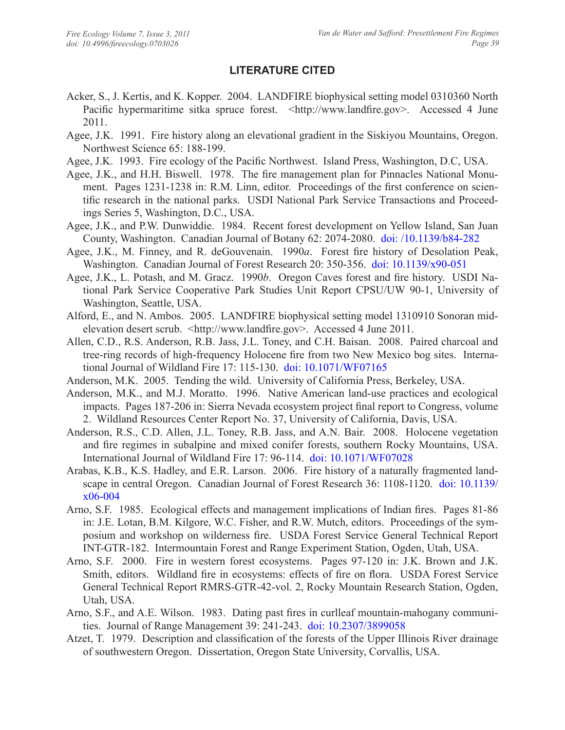# **Literature Cited**

- Acker, S., J. Kertis, and K. Kopper. 2004. LANDFIRE biophysical setting model 0310360 North Pacific hypermaritime sitka spruce forest. <http://www.landfire.gov>. Accessed 4 June 2011.
- Agee, J.K. 1991. Fire history along an elevational gradient in the Siskiyou Mountains, Oregon. Northwest Science 65: 188-199.
- Agee, J.K. 1993. Fire ecology of the Pacific Northwest. Island Press, Washington, D.C, USA.
- Agee, J.K., and H.H. Biswell. 1978. The fire management plan for Pinnacles National Monument. Pages 1231-1238 in: R.M. Linn, editor. Proceedings of the first conference on scientific research in the national parks. USDI National Park Service Transactions and Proceedings Series 5, Washington, D.C., USA.
- Agee, J.K., and P.W. Dunwiddie. 1984. Recent forest development on Yellow Island, San Juan County, Washington. Canadian Journal of Botany 62: 2074-2080. doi: [/10.1139/b84-28](http://dx.doi.org/10.1139/b84-282)2
- Agee, J.K., M. Finney, and R. deGouvenain. 1990*a*. Forest fire history of Desolation Peak, Washington. Canadian Journal of Forest Research 20: 350-356. [doi: 10.1139/x90-05](http://dx.doi.org/10.1139/x90-051)1
- Agee, J.K., L. Potash, and M. Gracz. 1990*b*. Oregon Caves forest and fire history. USDI National Park Service Cooperative Park Studies Unit Report CPSU/UW 90-1, University of Washington, Seattle, USA.
- Alford, E., and N. Ambos. 2005. LANDFIRE biophysical setting model 1310910 Sonoran midelevation desert scrub. <http://www.landfire.gov>. Accessed 4 June 2011.
- Allen, C.D., R.S. Anderson, R.B. Jass, J.L. Toney, and C.H. Baisan. 2008. Paired charcoal and tree-ring records of high-frequency Holocene fire from two New Mexico bog sites. International Journal of Wildland Fire 17: 115-130. doi: [10.1071/WF0716](http://dx.doi.org/10.1071/WF07165)5
- Anderson, M.K. 2005. Tending the wild. University of California Press, Berkeley, USA.
- Anderson, M.K., and M.J. Moratto. 1996. Native American land-use practices and ecological impacts. Pages 187-206 in: Sierra Nevada ecosystem project final report to Congress, volume 2. Wildland Resources Center Report No. 37, University of California, Davis, USA.
- Anderson, R.S., C.D. Allen, J.L. Toney, R.B. Jass, and A.N. Bair. 2008. Holocene vegetation and fire regimes in subalpine and mixed conifer forests, southern Rocky Mountains, USA. International Journal of Wildland Fire 17: 96-114. doi: [10.1071/WF0702](http://dx.doi.org/10.1071/WF07028)8
- Arabas, K.B., K.S. Hadley, and E.R. Larson. 2006. Fire history of a naturally fragmented landscape in central Oregon. Canadian Journal of Forest Research 36: 1108-1120. doi: [10.1139/](http://dx.doi.org/10.1139/x06-004) [x06-00](http://dx.doi.org/10.1139/x06-004)4
- Arno, S.F. 1985. Ecological effects and management implications of Indian fires. Pages 81-86 in: J.E. Lotan, B.M. Kilgore, W.C. Fisher, and R.W. Mutch, editors. Proceedings of the symposium and workshop on wilderness fire. USDA Forest Service General Technical Report INT-GTR-182. Intermountain Forest and Range Experiment Station, Ogden, Utah, USA.
- Arno, S.F. 2000. Fire in western forest ecosystems. Pages 97-120 in: J.K. Brown and J.K. Smith, editors. Wildland fire in ecosystems: effects of fire on flora. USDA Forest Service General Technical Report RMRS-GTR-42-vol. 2, Rocky Mountain Research Station, Ogden, Utah, USA.
- Arno, S.F., and A.E. Wilson. 1983. Dating past fires in curlleaf mountain-mahogany communities. Journal of Range Management 39: 241-243. doi: [10.2307/389905](http://dx.doi.org/10.2307/3899058)8
- Atzet, T. 1979. Description and classification of the forests of the Upper Illinois River drainage of southwestern Oregon. Dissertation, Oregon State University, Corvallis, USA.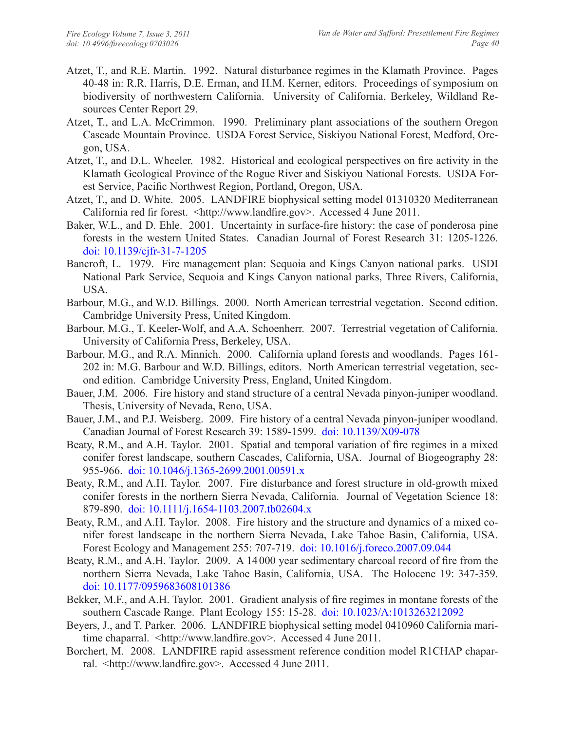- Atzet, T., and R.E. Martin. 1992. Natural disturbance regimes in the Klamath Province. Pages 40-48 in: R.R. Harris, D.E. Erman, and H.M. Kerner, editors. Proceedings of symposium on biodiversity of northwestern California. University of California, Berkeley, Wildland Resources Center Report 29.
- Atzet, T., and L.A. McCrimmon. 1990. Preliminary plant associations of the southern Oregon Cascade Mountain Province. USDA Forest Service, Siskiyou National Forest, Medford, Oregon, USA.
- Atzet, T., and D.L. Wheeler. 1982. Historical and ecological perspectives on fire activity in the Klamath Geological Province of the Rogue River and Siskiyou National Forests. USDA Forest Service, Pacific Northwest Region, Portland, Oregon, USA.
- Atzet, T., and D. White. 2005. LANDFIRE biophysical setting model 01310320 Mediterranean California red fir forest. <http://www.landfire.gov>. Accessed 4 June 2011.
- Baker, W.L., and D. Ehle. 2001. Uncertainty in surface-fire history: the case of ponderosa pine forests in the western United States. Canadian Journal of Forest Research 31: 1205-1226. [doi: 10.1139/cjfr-31-7-120](http://dx.doi.org/10.1139/x90-051)5
- Bancroft, L. 1979. Fire management plan: Sequoia and Kings Canyon national parks. USDI National Park Service, Sequoia and Kings Canyon national parks, Three Rivers, California, USA.
- Barbour, M.G., and W.D. Billings. 2000. North American terrestrial vegetation. Second edition. Cambridge University Press, United Kingdom.
- Barbour, M.G., T. Keeler-Wolf, and A.A. Schoenherr. 2007. Terrestrial vegetation of California. University of California Press, Berkeley, USA.
- Barbour, M.G., and R.A. Minnich. 2000. California upland forests and woodlands. Pages 161- 202 in: M.G. Barbour and W.D. Billings, editors. North American terrestrial vegetation, second edition. Cambridge University Press, England, United Kingdom.
- Bauer, J.M. 2006. Fire history and stand structure of a central Nevada pinyon-juniper woodland. Thesis, University of Nevada, Reno, USA.
- Bauer, J.M., and P.J. Weisberg. 2009. Fire history of a central Nevada pinyon-juniper woodland. Canadian Journal of Forest Research 39: 1589-1599. doi: [10.1139/X09-07](http://dx.doi.org/10.1139/X09-078)8
- Beaty, R.M., and A.H. Taylor. 2001. Spatial and temporal variation of fire regimes in a mixed conifer forest landscape, southern Cascades, California, USA. Journal of Biogeography 28: 955-966. doi: [10.1046/j.1365-2699.2001.00591.](http://dx.doi.org/10.1046/j.1365-2699.2001.00591.x)x
- Beaty, R.M., and A.H. Taylor. 2007. Fire disturbance and forest structure in old-growth mixed conifer forests in the northern Sierra Nevada, California. Journal of Vegetation Science 18: 879-890. doi: [10.1111/j.1654-1103.2007.tb02604.](http://dx.doi.org/10.1111/j.1654-1103.2007.tb02604.x)x
- Beaty, R.M., and A.H. Taylor. 2008. Fire history and the structure and dynamics of a mixed conifer forest landscape in the northern Sierra Nevada, Lake Tahoe Basin, California, USA. Forest Ecology and Management 255: 707-719. doi: [10.1016/j.foreco.2007.09.04](http://dx.doi.org/10.1016/j.foreco.2007.09.044)4
- Beaty, R.M., and A.H. Taylor. 2009. A 14000 year sedimentary charcoal record of fire from the northern Sierra Nevada, Lake Tahoe Basin, California, USA. The Holocene 19: 347-359. doi: [10.1177/095968360810138](http://dx.doi.org/10.1177/0959683608101386)6
- Bekker, M.F., and A.H. Taylor. 2001. Gradient analysis of fire regimes in montane forests of the southern Cascade Range. Plant Ecology 155: 15-28. doi: [10.1023/A:101326321209](http://dx.doi.org/10.1023/A:1013263212092)2
- Beyers, J., and T. Parker. 2006. LANDFIRE biophysical setting model 0410960 California maritime chaparral. <http://www.landfire.gov>. Accessed 4 June 2011.
- Borchert, M. 2008. LANDFIRE rapid assessment reference condition model R1CHAP chaparral. <http://www.landfire.gov>. Accessed 4 June 2011.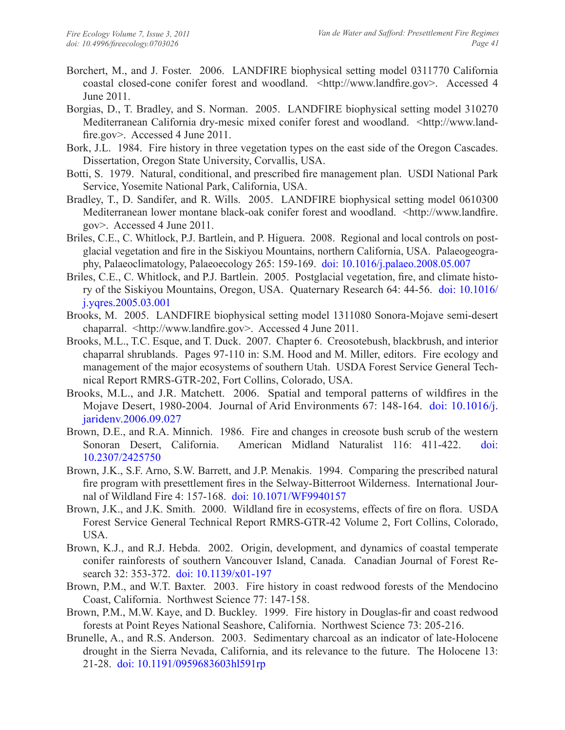- Borchert, M., and J. Foster. 2006. LANDFIRE biophysical setting model 0311770 California coastal closed-cone conifer forest and woodland. <http://www.landfire.gov>. Accessed 4 June 2011.
- Borgias, D., T. Bradley, and S. Norman. 2005. LANDFIRE biophysical setting model 310270 Mediterranean California dry-mesic mixed conifer forest and woodland. <http://www.landfire.gov>. Accessed 4 June 2011.
- Bork, J.L. 1984. Fire history in three vegetation types on the east side of the Oregon Cascades. Dissertation, Oregon State University, Corvallis, USA.
- Botti, S. 1979. Natural, conditional, and prescribed fire management plan. USDI National Park Service, Yosemite National Park, California, USA.
- Bradley, T., D. Sandifer, and R. Wills. 2005. LANDFIRE biophysical setting model 0610300 Mediterranean lower montane black-oak conifer forest and woodland. <http://www.landfire. gov>. Accessed 4 June 2011.
- Briles, C.E., C. Whitlock, P.J. Bartlein, and P. Higuera. 2008. Regional and local controls on postglacial vegetation and fire in the Siskiyou Mountains, northern California, USA. Palaeogeography, Palaeoclimatology, Palaeoecology 265: 159-169. doi: [10.1016/j.palaeo.2008.05.00](http://dx.doi.org/10.1016/j.palaeo.2008.05.007)7
- Briles, C.E., C. Whitlock, and P.J. Bartlein. 2005. Postglacial vegetation, fire, and climate history of the Siskiyou Mountains, Oregon, USA. Quaternary Research 64: 44-56. doi: [10.1016/](http://dx.doi.org/10.1016/j.yqres.2005.03.001) [j.yqres.2005.03.00](http://dx.doi.org/10.1016/j.yqres.2005.03.001)1
- Brooks, M. 2005. LANDFIRE biophysical setting model 1311080 Sonora-Mojave semi-desert chaparral. <http://www.landfire.gov>. Accessed 4 June 2011.
- Brooks, M.L., T.C. Esque, and T. Duck. 2007. Chapter 6. Creosotebush, blackbrush, and interior chaparral shrublands. Pages 97-110 in: S.M. Hood and M. Miller, editors. Fire ecology and management of the major ecosystems of southern Utah. USDA Forest Service General Technical Report RMRS-GTR-202, Fort Collins, Colorado, USA.
- Brooks, M.L., and J.R. Matchett. 2006. Spatial and temporal patterns of wildfires in the Mojave Desert, 1980-2004. Journal of Arid Environments 67: 148-164. doi: [10.1016/j.](http://dx.doi.org/10.1016/j.jaridenv.2006.09.027) [jaridenv.2006.09.02](http://dx.doi.org/10.1016/j.jaridenv.2006.09.027)7
- Brown, D.E., and R.A. Minnich. 1986. Fire and changes in creosote bush scrub of the western Sonoran Desert, California. American Midland Naturalist 116: 411-422. doi: [10.2307/2425750](http://dx.doi.org/10.2307/2425750)
- Brown, J.K., S.F. Arno, S.W. Barrett, and J.P. Menakis. 1994. Comparing the prescribed natural fire program with presettlement fires in the Selway-Bitterroot Wilderness. International Journal of Wildland Fire 4: 157-168. [doi: 10.1071/WF994015](http://dx.doi.org/10.1139/x90-051)7
- Brown, J.K., and J.K. Smith. 2000. Wildland fire in ecosystems, effects of fire on flora. USDA Forest Service General Technical Report RMRS-GTR-42 Volume 2, Fort Collins, Colorado, USA.
- Brown, K.J., and R.J. Hebda. 2002. Origin, development, and dynamics of coastal temperate conifer rainforests of southern Vancouver Island, Canada. Canadian Journal of Forest Research 32: 353-372. doi: [10.1139/x01-19](http://dx.doi.org/10.1139/x01-197)7
- Brown, P.M., and W.T. Baxter. 2003. Fire history in coast redwood forests of the Mendocino Coast, California. Northwest Science 77: 147-158.
- Brown, P.M., M.W. Kaye, and D. Buckley. 1999. Fire history in Douglas-fir and coast redwood forests at Point Reyes National Seashore, California. Northwest Science 73: 205-216.
- Brunelle, A., and R.S. Anderson. 2003. Sedimentary charcoal as an indicator of late-Holocene drought in the Sierra Nevada, California, and its relevance to the future. The Holocene 13: 21-28. doi: [10.1191/0959683603hl591r](http://dx.doi.org/10.1191/0959683603hl591rp)p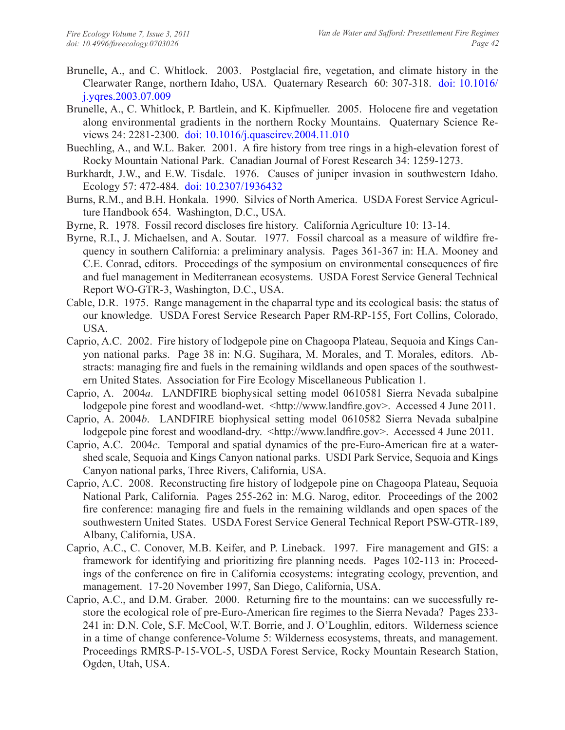- Brunelle, A., and C. Whitlock. 2003. Postglacial fire, vegetation, and climate history in the Clearwater Range, northern Idaho, USA. Quaternary Research 60: 307-318. [doi: 10.1016/](http://dx.doi.org/10.1139/x90-051) [j.yqres.2003.07.00](http://dx.doi.org/10.1139/x90-051)9
- Brunelle, A., C. Whitlock, P. Bartlein, and K. Kipfmueller. 2005. Holocene fire and vegetation along environmental gradients in the northern Rocky Mountains. Quaternary Science Reviews 24: 2281-2300. [doi: 10.1016/j.quascirev.2004.11.010](http://dx.doi.org/10.1139/x90-051)
- Buechling, A., and W.L. Baker. 2001. A fire history from tree rings in a high-elevation forest of Rocky Mountain National Park. Canadian Journal of Forest Research 34: 1259-1273.
- Burkhardt, J.W., and E.W. Tisdale. 1976. Causes of juniper invasion in southwestern Idaho. Ecology 57: 472-484. doi: [10.2307/193643](http://dx.doi.org/10.2307/1936432)2
- Burns, R.M., and B.H. Honkala. 1990. Silvics of North America. USDA Forest Service Agriculture Handbook 654. Washington, D.C., USA.
- Byrne, R. 1978. Fossil record discloses fire history. California Agriculture 10: 13-14.
- Byrne, R.I., J. Michaelsen, and A. Soutar. 1977. Fossil charcoal as a measure of wildfire frequency in southern California: a preliminary analysis. Pages 361-367 in: H.A. Mooney and C.E. Conrad, editors. Proceedings of the symposium on environmental consequences of fire and fuel management in Mediterranean ecosystems. USDA Forest Service General Technical Report WO-GTR-3, Washington, D.C., USA.
- Cable, D.R. 1975. Range management in the chaparral type and its ecological basis: the status of our knowledge. USDA Forest Service Research Paper RM-RP-155, Fort Collins, Colorado, USA.
- Caprio, A.C. 2002. Fire history of lodgepole pine on Chagoopa Plateau, Sequoia and Kings Canyon national parks. Page 38 in: N.G. Sugihara, M. Morales, and T. Morales, editors. Abstracts: managing fire and fuels in the remaining wildlands and open spaces of the southwestern United States. Association for Fire Ecology Miscellaneous Publication 1.
- Caprio, A. 2004*a*. LANDFIRE biophysical setting model 0610581 Sierra Nevada subalpine lodgepole pine forest and woodland-wet. <http://www.landfire.gov>. Accessed 4 June 2011.
- Caprio, A. 2004*b*. LANDFIRE biophysical setting model 0610582 Sierra Nevada subalpine lodgepole pine forest and woodland-dry. <http://www.landfire.gov>. Accessed 4 June 2011.
- Caprio, A.C. 2004*c*. Temporal and spatial dynamics of the pre-Euro-American fire at a watershed scale, Sequoia and Kings Canyon national parks. USDI Park Service, Sequoia and Kings Canyon national parks, Three Rivers, California, USA.
- Caprio, A.C. 2008. Reconstructing fire history of lodgepole pine on Chagoopa Plateau, Sequoia National Park, California. Pages 255-262 in: M.G. Narog, editor. Proceedings of the 2002 fire conference: managing fire and fuels in the remaining wildlands and open spaces of the southwestern United States. USDA Forest Service General Technical Report PSW-GTR-189, Albany, California, USA.
- Caprio, A.C., C. Conover, M.B. Keifer, and P. Lineback. 1997. Fire management and GIS: a framework for identifying and prioritizing fire planning needs. Pages 102-113 in: Proceedings of the conference on fire in California ecosystems: integrating ecology, prevention, and management. 17-20 November 1997, San Diego, California, USA.
- Caprio, A.C., and D.M. Graber. 2000. Returning fire to the mountains: can we successfully restore the ecological role of pre-Euro-American fire regimes to the Sierra Nevada? Pages 233- 241 in: D.N. Cole, S.F. McCool, W.T. Borrie, and J. O'Loughlin, editors. Wilderness science in a time of change conference-Volume 5: Wilderness ecosystems, threats, and management. Proceedings RMRS-P-15-VOL-5, USDA Forest Service, Rocky Mountain Research Station, Ogden, Utah, USA.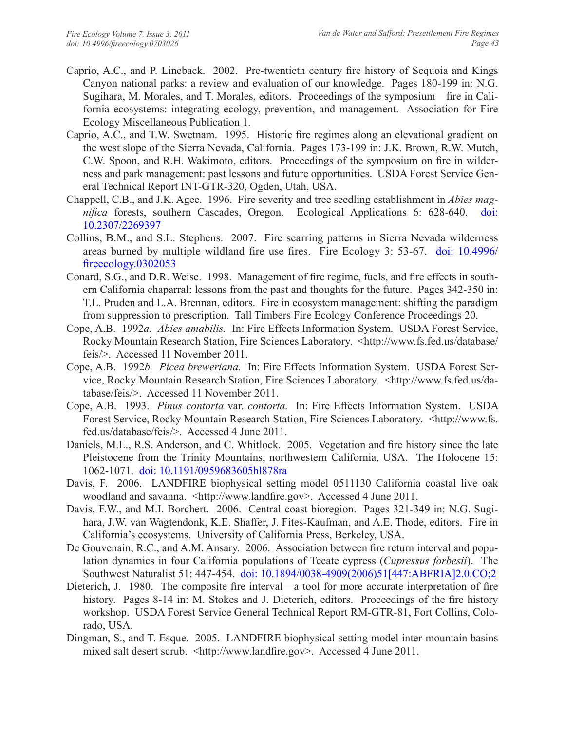- Caprio, A.C., and P. Lineback. 2002. Pre-twentieth century fire history of Sequoia and Kings Canyon national parks: a review and evaluation of our knowledge. Pages 180-199 in: N.G. Sugihara, M. Morales, and T. Morales, editors. Proceedings of the symposium—fire in California ecosystems: integrating ecology, prevention, and management. Association for Fire Ecology Miscellaneous Publication 1.
- Caprio, A.C., and T.W. Swetnam. 1995. Historic fire regimes along an elevational gradient on the west slope of the Sierra Nevada, California. Pages 173-199 in: J.K. Brown, R.W. Mutch, C.W. Spoon, and R.H. Wakimoto, editors. Proceedings of the symposium on fire in wilderness and park management: past lessons and future opportunities. USDA Forest Service General Technical Report INT-GTR-320, Ogden, Utah, USA.
- Chappell, C.B., and J.K. Agee. 1996. Fire severity and tree seedling establishment in *Abies magnifica* forests, southern Cascades, Oregon. Ecological Applications 6: 628-640. doi: [10.2307/226939](http://dx.doi.org/10.2307/2269397)7
- Collins, B.M., and S.L. Stephens. 2007. Fire scarring patterns in Sierra Nevada wilderness areas burned by multiple wildland fire use fires. Fire Ecology 3: 53-67. doi: [10.4996/](http://dx.doi.org/10.4996/fireecology.0302053) [fireecology.030205](http://dx.doi.org/10.4996/fireecology.0302053)3
- Conard, S.G., and D.R. Weise. 1998. Management of fire regime, fuels, and fire effects in southern California chaparral: lessons from the past and thoughts for the future. Pages 342-350 in: T.L. Pruden and L.A. Brennan, editors. Fire in ecosystem management: shifting the paradigm from suppression to prescription. Tall Timbers Fire Ecology Conference Proceedings 20.
- Cope, A.B. 1992*a. Abies amabilis.* In: Fire Effects Information System. USDA Forest Service, Rocky Mountain Research Station, Fire Sciences Laboratory. <http://www.fs.fed.us/database/ feis/>. Accessed 11 November 2011.
- Cope, A.B. 1992*b. Picea breweriana.* In: Fire Effects Information System. USDA Forest Service, Rocky Mountain Research Station, Fire Sciences Laboratory. <http://www.fs.fed.us/database/feis/>. Accessed 11 November 2011.
- Cope, A.B. 1993. *Pinus contorta* var. *contorta.* In: Fire Effects Information System. USDA Forest Service, Rocky Mountain Research Station, Fire Sciences Laboratory. <http://www.fs. fed.us/database/feis/>. Accessed 4 June 2011.
- Daniels, M.L., R.S. Anderson, and C. Whitlock. 2005. Vegetation and fire history since the late Pleistocene from the Trinity Mountains, northwestern California, USA. The Holocene 15: 1062-1071. doi: [10.1191/0959683605hl878r](http://dx.doi.org/10.1191/0959683605hl878ra)a
- Davis, F. 2006. LANDFIRE biophysical setting model 0511130 California coastal live oak woodland and savanna. <http://www.landfire.gov>. Accessed 4 June 2011.
- Davis, F.W., and M.I. Borchert. 2006. Central coast bioregion. Pages 321-349 in: N.G. Sugihara, J.W. van Wagtendonk, K.E. Shaffer, J. Fites-Kaufman, and A.E. Thode, editors. Fire in California's ecosystems. University of California Press, Berkeley, USA.
- De Gouvenain, R.C., and A.M. Ansary. 2006. Association between fire return interval and population dynamics in four California populations of Tecate cypress (*Cupressus forbesii*). The Southwest Naturalist 51: 447-454. doi: [10.1894/0038-4909\(2006\)51\[447:ABFRIA\]2.0.CO;](http://dx.doi.org/10.1894/0038-4909%282006%2951%5b447:ABFRIA%5d2.0.CO;2)2
- Dieterich, J. 1980. The composite fire interval—a tool for more accurate interpretation of fire history. Pages 8-14 in: M. Stokes and J. Dieterich, editors. Proceedings of the fire history workshop. USDA Forest Service General Technical Report RM-GTR-81, Fort Collins, Colorado, USA.
- Dingman, S., and T. Esque. 2005. LANDFIRE biophysical setting model inter-mountain basins mixed salt desert scrub. <http://www.landfire.gov>. Accessed 4 June 2011.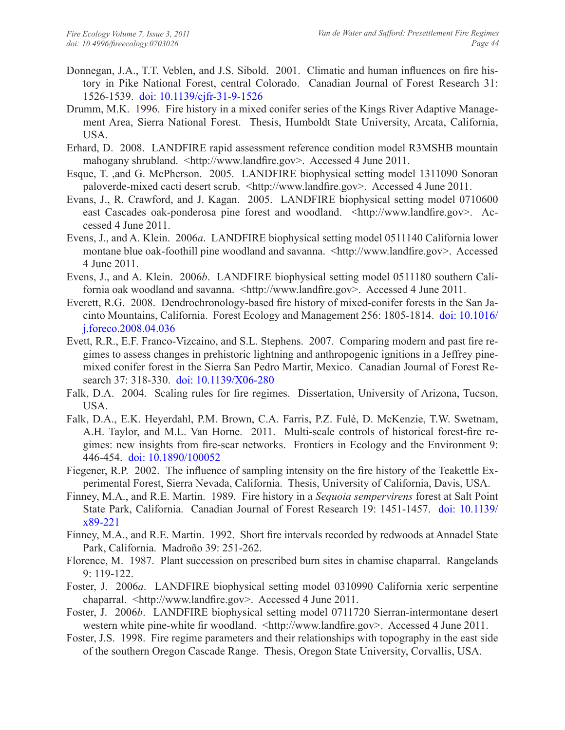- Donnegan, J.A., T.T. Veblen, and J.S. Sibold. 2001. Climatic and human influences on fire history in Pike National Forest, central Colorado. Canadian Journal of Forest Research 31: 1526-1539. [doi: 10.1139/cjfr-31-9-152](http://dx.doi.org/10.1139/x90-051)6
- Drumm, M.K. 1996. Fire history in a mixed conifer series of the Kings River Adaptive Management Area, Sierra National Forest. Thesis, Humboldt State University, Arcata, California, USA.
- Erhard, D. 2008. LANDFIRE rapid assessment reference condition model R3MSHB mountain mahogany shrubland. <http://www.landfire.gov>. Accessed 4 June 2011.
- Esque, T. ,and G. McPherson. 2005. LANDFIRE biophysical setting model 1311090 Sonoran paloverde-mixed cacti desert scrub. <http://www.landfire.gov>. Accessed 4 June 2011.
- Evans, J., R. Crawford, and J. Kagan. 2005. LANDFIRE biophysical setting model 0710600 east Cascades oak-ponderosa pine forest and woodland. <http://www.landfire.gov>. Accessed 4 June 2011.
- Evens, J., and A. Klein. 2006*a*. LANDFIRE biophysical setting model 0511140 California lower montane blue oak-foothill pine woodland and savanna. <http://www.landfire.gov>. Accessed 4 June 2011.
- Evens, J., and A. Klein. 2006*b*. LANDFIRE biophysical setting model 0511180 southern California oak woodland and savanna. <http://www.landfire.gov>. Accessed 4 June 2011.
- Everett, R.G. 2008. Dendrochronology-based fire history of mixed-conifer forests in the San Jacinto Mountains, California. Forest Ecology and Management 256: 1805-1814. doi: [10.1016/](http://dx.doi.org/10.1016/j.foreco.2008.04.036) [j.foreco.2008.04.03](http://dx.doi.org/10.1016/j.foreco.2008.04.036)6
- Evett, R.R., E.F. Franco-Vizcaino, and S.L. Stephens. 2007. Comparing modern and past fire regimes to assess changes in prehistoric lightning and anthropogenic ignitions in a Jeffrey pinemixed conifer forest in the Sierra San Pedro Martir, Mexico. Canadian Journal of Forest Research 37: 318-330. doi: [10.1139/X06-280](http://dx.doi.org/10.1139/X06-280)
- Falk, D.A. 2004. Scaling rules for fire regimes. Dissertation, University of Arizona, Tucson, USA.
- Falk, D.A., E.K. Heyerdahl, P.M. Brown, C.A. Farris, P.Z. Fulé, D. McKenzie, T.W. Swetnam, A.H. Taylor, and M.L. Van Horne. 2011. Multi-scale controls of historical forest-fire regimes: new insights from fire-scar networks. Frontiers in Ecology and the Environment 9: 446-454. [doi: 10.1890/10005](http://dx.doi.org/10.1139/x90-051)2
- Fiegener, R.P. 2002. The influence of sampling intensity on the fire history of the Teakettle Experimental Forest, Sierra Nevada, California. Thesis, University of California, Davis, USA.
- Finney, M.A., and R.E. Martin. 1989. Fire history in a *Sequoia sempervirens* forest at Salt Point State Park, California. Canadian Journal of Forest Research 19: 1451-1457. doi: [10.1139/](http://dx.doi.org/10.1139/x89-221) [x89-22](http://dx.doi.org/10.1139/x89-221)1
- Finney, M.A., and R.E. Martin. 1992. Short fire intervals recorded by redwoods at Annadel State Park, California. Madroño 39: 251-262.
- Florence, M. 1987. Plant succession on prescribed burn sites in chamise chaparral. Rangelands 9: 119-122.
- Foster, J. 2006*a*. LANDFIRE biophysical setting model 0310990 California xeric serpentine chaparral. <http://www.landfire.gov>. Accessed 4 June 2011.
- Foster, J. 2006*b*. LANDFIRE biophysical setting model 0711720 Sierran-intermontane desert western white pine-white fir woodland. <http://www.landfire.gov>. Accessed 4 June 2011.
- Foster, J.S. 1998. Fire regime parameters and their relationships with topography in the east side of the southern Oregon Cascade Range. Thesis, Oregon State University, Corvallis, USA.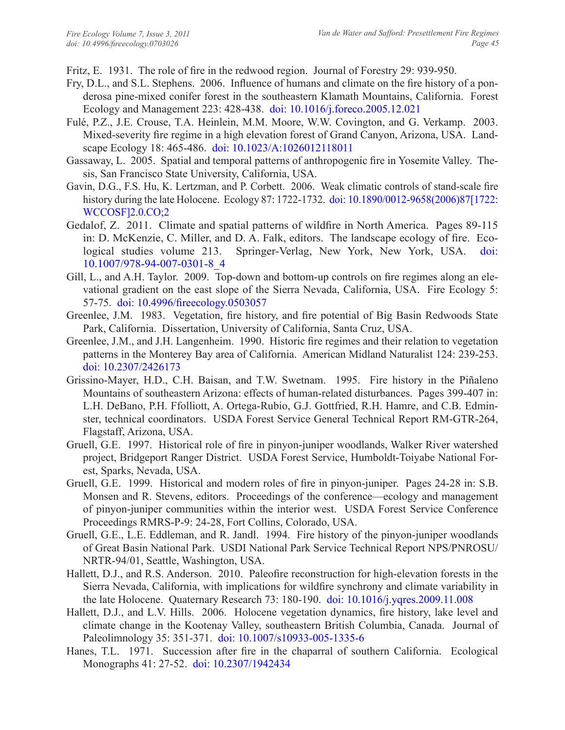Fritz, E. 1931. The role of fire in the redwood region. Journal of Forestry 29: 939-950.

- Fry, D.L., and S.L. Stephens. 2006. Influence of humans and climate on the fire history of a ponderosa pine-mixed conifer forest in the southeastern Klamath Mountains, California. Forest Ecology and Management 223: 428-438. doi: [10.1016/j.foreco.2005.12.02](http://dx.doi.org/10.1016/j.foreco.2005.12.021)1
- Fulé, P.Z., J.E. Crouse, T.A. Heinlein, M.M. Moore, W.W. Covington, and G. Verkamp. 2003. Mixed-severity fire regime in a high elevation forest of Grand Canyon, Arizona, USA. Landscape Ecology 18: 465-486. doi: [10.1023/A:102601211801](http://dx.doi.org/10.1023/A:1026012118011)1
- Gassaway, L. 2005. Spatial and temporal patterns of anthropogenic fire in Yosemite Valley. Thesis, San Francisco State University, California, USA.
- Gavin, D.G., F.S. Hu, K. Lertzman, and P. Corbett. 2006. Weak climatic controls of stand-scale fire history during the late Holocene. Ecology 87: 1722-1732. [doi: 10.1890/0012-9658\(2006\)87\[1722:](http://dx.doi.org/10.1139/x90-051) [WCCOSF\]2.0.CO;](http://dx.doi.org/10.1139/x90-051)2
- Gedalof, Z. 2011. Climate and spatial patterns of wildfire in North America. Pages 89-115 in: D. McKenzie, C. Miller, and D. A. Falk, editors. The landscape ecology of fire. Ecological studies volume 213. Springer-Verlag, New York, New York, USA. doi: [10.1007/978-94-007-0301-8\\_](http://dx.doi.org/10.1007/978-94-007-0301-8_4)4
- Gill, L., and A.H. Taylor. 2009. Top-down and bottom-up controls on fire regimes along an elevational gradient on the east slope of the Sierra Nevada, California, USA. Fire Ecology 5: 57-75. doi: [10.4996/fireecology.050305](http://dx.doi.org/10.4996/fireecology.0503057)7
- Greenlee, J.M. 1983. Vegetation, fire history, and fire potential of Big Basin Redwoods State Park, California. Dissertation, University of California, Santa Cruz, USA.
- Greenlee, J.M., and J.H. Langenheim. 1990. Historic fire regimes and their relation to vegetation patterns in the Monterey Bay area of California. American Midland Naturalist 124: 239-253. doi: [10.2307/242617](http://dx.doi.org/10.2307/2426173)3
- Grissino-Mayer, H.D., C.H. Baisan, and T.W. Swetnam. 1995. Fire history in the Piñaleno Mountains of southeastern Arizona: effects of human-related disturbances. Pages 399-407 in: L.H. DeBano, P.H. Ffolliott, A. Ortega-Rubio, G.J. Gottfried, R.H. Hamre, and C.B. Edminster, technical coordinators. USDA Forest Service General Technical Report RM-GTR-264, Flagstaff, Arizona, USA.
- Gruell, G.E. 1997. Historical role of fire in pinyon-juniper woodlands, Walker River watershed project, Bridgeport Ranger District. USDA Forest Service, Humboldt-Toiyabe National Forest, Sparks, Nevada, USA.
- Gruell, G.E. 1999. Historical and modern roles of fire in pinyon-juniper. Pages 24-28 in: S.B. Monsen and R. Stevens, editors. Proceedings of the conference—ecology and management of pinyon-juniper communities within the interior west. USDA Forest Service Conference Proceedings RMRS-P-9: 24-28, Fort Collins, Colorado, USA.
- Gruell, G.E., L.E. Eddleman, and R. Jandl. 1994. Fire history of the pinyon-juniper woodlands of Great Basin National Park. USDI National Park Service Technical Report NPS/PNROSU/ NRTR-94/01, Seattle, Washington, USA.
- Hallett, D.J., and R.S. Anderson. 2010. Paleofire reconstruction for high-elevation forests in the Sierra Nevada, California, with implications for wildfire synchrony and climate variability in the late Holocene. Quaternary Research 73: 180-190. doi: [10.1016/j.yqres.2009.11.00](http://dx.doi.org/10.1016/j.yqres.2009.11.008)8
- Hallett, D.J., and L.V. Hills. 2006. Holocene vegetation dynamics, fire history, lake level and climate change in the Kootenay Valley, southeastern British Columbia, Canada. Journal of Paleolimnology 35: 351-371. [doi: 10.1007/s10933-005-1335-](http://dx.doi.org/10.1139/x90-051)6
- Hanes, T.L. 1971. Succession after fire in the chaparral of southern California. Ecological Monographs 41: 27-52. doi: [10.2307/194243](http://dx.doi.org/10.2307/1942434)4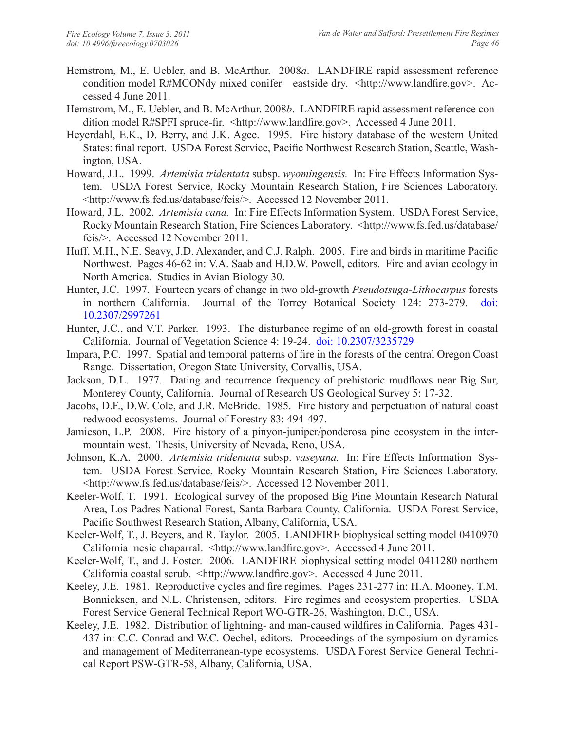- Hemstrom, M., E. Uebler, and B. McArthur. 2008*a*. LANDFIRE rapid assessment reference condition model R#MCONdy mixed conifer—eastside dry. <http://www.landfire.gov>. Accessed 4 June 2011.
- Hemstrom, M., E. Uebler, and B. McArthur. 2008*b*. LANDFIRE rapid assessment reference condition model R#SPFI spruce-fir. <http://www.landfire.gov>. Accessed 4 June 2011.
- Heyerdahl, E.K., D. Berry, and J.K. Agee. 1995. Fire history database of the western United States: final report. USDA Forest Service, Pacific Northwest Research Station, Seattle, Washington, USA.
- Howard, J.L. 1999. *Artemisia tridentata* subsp. *wyomingensis.* In: Fire Effects Information System. USDA Forest Service, Rocky Mountain Research Station, Fire Sciences Laboratory. <http://www.fs.fed.us/database/feis/>. Accessed 12 November 2011.
- Howard, J.L. 2002. *Artemisia cana.* In: Fire Effects Information System. USDA Forest Service, Rocky Mountain Research Station, Fire Sciences Laboratory. <http://www.fs.fed.us/database/ feis/>. Accessed 12 November 2011.
- Huff, M.H., N.E. Seavy, J.D. Alexander, and C.J. Ralph. 2005. Fire and birds in maritime Pacific Northwest. Pages 46-62 in: V.A. Saab and H.D.W. Powell, editors. Fire and avian ecology in North America. Studies in Avian Biology 30.
- Hunter, J.C. 1997. Fourteen years of change in two old-growth *Pseudotsuga-Lithocarpus* forests in northern California. Journal of the Torrey Botanical Society 124: 273-279. doi: [10.2307/299726](http://dx.doi.org/10.2307/2997261)1
- Hunter, J.C., and V.T. Parker. 1993. The disturbance regime of an old-growth forest in coastal California. Journal of Vegetation Science 4: 19-24. doi: [10.2307/323572](http://dx.doi.org/10.2307/3235729)9
- Impara, P.C. 1997. Spatial and temporal patterns of fire in the forests of the central Oregon Coast Range. Dissertation, Oregon State University, Corvallis, USA.
- Jackson, D.L. 1977. Dating and recurrence frequency of prehistoric mudflows near Big Sur, Monterey County, California. Journal of Research US Geological Survey 5: 17-32.
- Jacobs, D.F., D.W. Cole, and J.R. McBride. 1985. Fire history and perpetuation of natural coast redwood ecosystems. Journal of Forestry 83: 494-497.
- Jamieson, L.P. 2008. Fire history of a pinyon-juniper/ponderosa pine ecosystem in the intermountain west. Thesis, University of Nevada, Reno, USA.
- Johnson, K.A. 2000. *Artemisia tridentata* subsp. *vaseyana.* In: Fire Effects Information System. USDA Forest Service, Rocky Mountain Research Station, Fire Sciences Laboratory. <http://www.fs.fed.us/database/feis/>. Accessed 12 November 2011.
- Keeler-Wolf, T. 1991. Ecological survey of the proposed Big Pine Mountain Research Natural Area, Los Padres National Forest, Santa Barbara County, California. USDA Forest Service, Pacific Southwest Research Station, Albany, California, USA.
- Keeler-Wolf, T., J. Beyers, and R. Taylor. 2005. LANDFIRE biophysical setting model 0410970 California mesic chaparral. <http://www.landfire.gov>. Accessed 4 June 2011.
- Keeler-Wolf, T., and J. Foster. 2006. LANDFIRE biophysical setting model 0411280 northern California coastal scrub. <http://www.landfire.gov>. Accessed 4 June 2011.
- Keeley, J.E. 1981. Reproductive cycles and fire regimes. Pages 231-277 in: H.A. Mooney, T.M. Bonnicksen, and N.L. Christensen, editors. Fire regimes and ecosystem properties. USDA Forest Service General Technical Report WO-GTR-26, Washington, D.C., USA.
- Keeley, J.E. 1982. Distribution of lightning- and man-caused wildfires in California. Pages 431- 437 in: C.C. Conrad and W.C. Oechel, editors. Proceedings of the symposium on dynamics and management of Mediterranean-type ecosystems. USDA Forest Service General Technical Report PSW-GTR-58, Albany, California, USA.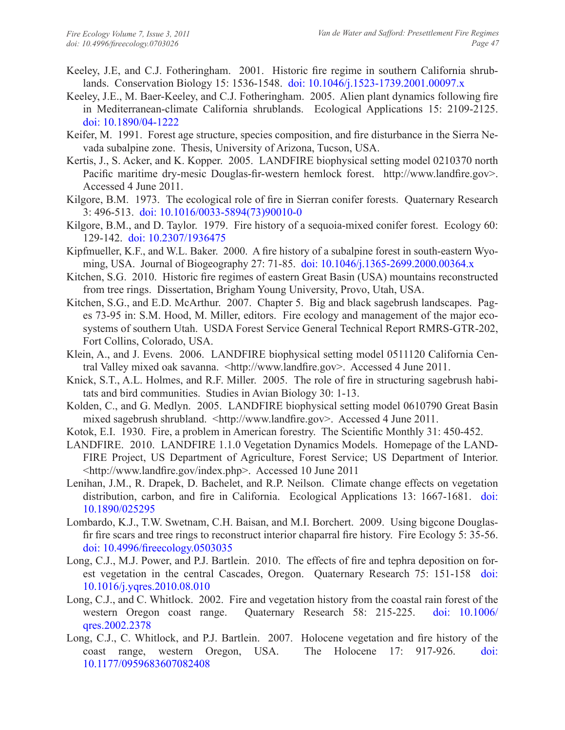- Keeley, J.E, and C.J. Fotheringham. 2001. Historic fire regime in southern California shrublands. Conservation Biology 15: 1536-1548. doi: [10.1046/j.1523-1739.2001.00097.](http://dx.doi.org/10.1046/j.1523-1739.2001.00097.x)x
- Keeley, J.E., M. Baer-Keeley, and C.J. Fotheringham. 2005. Alien plant dynamics following fire in Mediterranean-climate California shrublands. Ecological Applications 15: 2109-2125. doi: [10.1890/04-122](http://dx.doi.org/10.1890/04-1222)2
- Keifer, M. 1991. Forest age structure, species composition, and fire disturbance in the Sierra Nevada subalpine zone. Thesis, University of Arizona, Tucson, USA.
- Kertis, J., S. Acker, and K. Kopper. 2005. LANDFIRE biophysical setting model 0210370 north Pacific maritime dry-mesic Douglas-fir-western hemlock forest. http://www.landfire.gov>. Accessed 4 June 2011.
- Kilgore, B.M. 1973. The ecological role of fire in Sierran conifer forests. Quaternary Research 3: 496-513. doi: [10.1016/0033-5894\(73\)90010-0](http://dx.doi.org/10.1016/0033-5894%2873%2990010-0)
- Kilgore, B.M., and D. Taylor. 1979. Fire history of a sequoia-mixed conifer forest. Ecology 60: 129-142. doi: [10.2307/193647](http://dx.doi.org/10.2307/1936475)5
- Kipfmueller, K.F., and W.L. Baker. 2000. A fire history of a subalpine forest in south-eastern Wyoming, USA. Journal of Biogeography 27: 71-85. [doi: 10.1046/j.1365-2699.2000.00364.x](http://dx.doi.org/10.1139/x90-051)
- Kitchen, S.G. 2010. Historic fire regimes of eastern Great Basin (USA) mountains reconstructed from tree rings. Dissertation, Brigham Young University, Provo, Utah, USA.
- Kitchen, S.G., and E.D. McArthur. 2007. Chapter 5. Big and black sagebrush landscapes. Pages 73-95 in: S.M. Hood, M. Miller, editors. Fire ecology and management of the major ecosystems of southern Utah. USDA Forest Service General Technical Report RMRS-GTR-202, Fort Collins, Colorado, USA.
- Klein, A., and J. Evens. 2006. LANDFIRE biophysical setting model 0511120 California Central Valley mixed oak savanna. <http://www.landfire.gov>. Accessed 4 June 2011.
- Knick, S.T., A.L. Holmes, and R.F. Miller. 2005. The role of fire in structuring sagebrush habitats and bird communities. Studies in Avian Biology 30: 1-13.
- Kolden, C., and G. Medlyn. 2005. LANDFIRE biophysical setting model 0610790 Great Basin mixed sagebrush shrubland. <http://www.landfire.gov>. Accessed 4 June 2011.
- Kotok, E.I. 1930. Fire, a problem in American forestry. The Scientific Monthly 31: 450-452.
- LANDFIRE. 2010. LANDFIRE 1.1.0 Vegetation Dynamics Models. Homepage of the LAND-FIRE Project, US Department of Agriculture, Forest Service; US Department of Interior. <http://www.landfire.gov/index.php>. Accessed 10 June 2011
- Lenihan, J.M., R. Drapek, D. Bachelet, and R.P. Neilson. Climate change effects on vegetation distribution, carbon, and fire in California. Ecological Applications 13: 1667-1681. doi: [10.1890/02529](http://dx.doi.org/10.1890/025295)5
- Lombardo, K.J., T.W. Swetnam, C.H. Baisan, and M.I. Borchert. 2009. Using bigcone Douglasfir fire scars and tree rings to reconstruct interior chaparral fire history. Fire Ecology 5: 35-56. doi: [10.4996/fireecology.050303](http://dx.doi.org/10.4996/fireecology.0503035)5
- Long, C.J., M.J. Power, and P.J. Bartlein. 2010. The effects of fire and tephra deposition on forest vegetation in the central Cascades, Oregon. Quaternary Research 75: 151-158 doi: [10.1016/j.yqres.2010.08.010](http://dx.doi.org/10.1016/j.yqres.2010.08.010)
- Long, C.J., and C. Whitlock. 2002. Fire and vegetation history from the coastal rain forest of the western Oregon coast range. Quaternary Research 58: 215-225. doi: [10.1006/](http://dx.doi.org/10.1006/qres.2002.2378) [qres.2002.237](http://dx.doi.org/10.1006/qres.2002.2378)8
- Long, C.J., C. Whitlock, and P.J. Bartlein. 2007. Holocene vegetation and fire history of the coast range, western Oregon, USA. The Holocene 17: 917-926. doi: [10.1177/095968360708240](http://dx.doi.org/10.1177/0959683607082408)8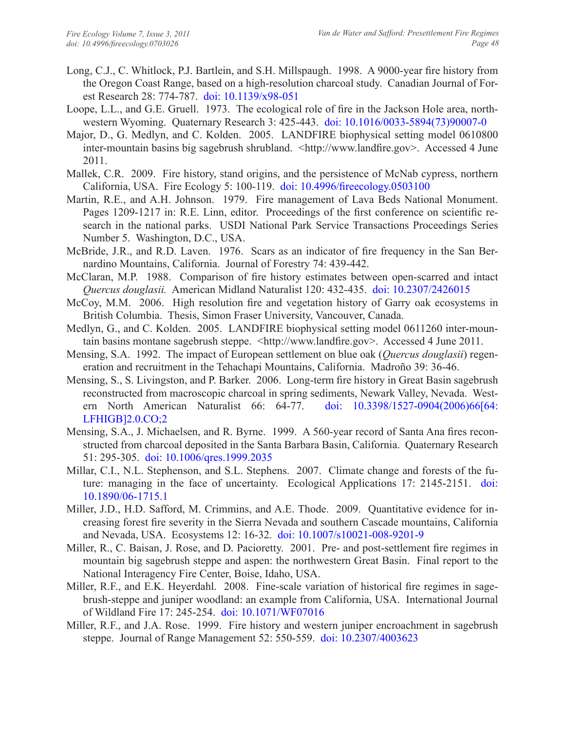- Long, C.J., C. Whitlock, P.J. Bartlein, and S.H. Millspaugh. 1998. A 9000-year fire history from the Oregon Coast Range, based on a high-resolution charcoal study. Canadian Journal of Forest Research 28: 774-787. doi: [10.1139/x98-05](http://dx.doi.org/10.1139/x98-051)1
- Loope, L.L., and G.E. Gruell. 1973. The ecological role of fire in the Jackson Hole area, northwestern Wyoming. Quaternary Research 3: 425-443. doi: [10.1016/0033-5894\(73\)90007-0](http://dx.doi.org/10.1016/0033-5894%2873%2990007-0)
- Major, D., G. Medlyn, and C. Kolden. 2005. LANDFIRE biophysical setting model 0610800 inter-mountain basins big sagebrush shrubland. <http://www.landfire.gov>. Accessed 4 June 2011.
- Mallek, C.R. 2009. Fire history, stand origins, and the persistence of McNab cypress, northern California, USA. Fire Ecology 5: 100-119. doi: [10.4996/fireecology.0503100](http://dx.doi.org/10.4996/fireecology.0503100)
- Martin, R.E., and A.H. Johnson. 1979. Fire management of Lava Beds National Monument. Pages 1209-1217 in: R.E. Linn, editor. Proceedings of the first conference on scientific research in the national parks. USDI National Park Service Transactions Proceedings Series Number 5. Washington, D.C., USA.
- McBride, J.R., and R.D. Laven. 1976. Scars as an indicator of fire frequency in the San Bernardino Mountains, California. Journal of Forestry 74: 439-442.
- McClaran, M.P. 1988. Comparison of fire history estimates between open-scarred and intact *Quercus douglasii.* American Midland Naturalist 120: 432-435. doi: [10.2307/242601](http://dx.doi.org/10.2307/2426015)5
- McCoy, M.M. 2006. High resolution fire and vegetation history of Garry oak ecosystems in British Columbia. Thesis, Simon Fraser University, Vancouver, Canada.
- Medlyn, G., and C. Kolden. 2005. LANDFIRE biophysical setting model 0611260 inter-mountain basins montane sagebrush steppe. <http://www.landfire.gov>. Accessed 4 June 2011.
- Mensing, S.A. 1992. The impact of European settlement on blue oak (*Quercus douglasii*) regeneration and recruitment in the Tehachapi Mountains, California. Madroño 39: 36-46.
- Mensing, S., S. Livingston, and P. Barker. 2006. Long-term fire history in Great Basin sagebrush reconstructed from macroscopic charcoal in spring sediments, Newark Valley, Nevada. Western North American Naturalist 66: 64-77. doi: [10.3398/1527-0904\(2006\)66\[64:](http://dx.doi.org/10.3398/1527-0904%282006%2966%5b64:LFHIGB%5d2.0.CO;2) [LFHIGB\]2.0.CO;](http://dx.doi.org/10.3398/1527-0904%282006%2966%5b64:LFHIGB%5d2.0.CO;2)2
- Mensing, S.A., J. Michaelsen, and R. Byrne. 1999. A 560-year record of Santa Ana fires reconstructed from charcoal deposited in the Santa Barbara Basin, California. Quaternary Research 51: 295-305. doi: [10.1006/qres.1999.203](http://dx.doi.org/10.1139/x90-051)5
- Millar, C.I., N.L. Stephenson, and S.L. Stephens. 2007. Climate change and forests of the future: managing in the face of uncertainty. Ecological Applications 17: 2145-2151. doi: [10.1890/06-1715.](http://dx.doi.org/10.1890/06-1715.1)1
- Miller, J.D., H.D. Safford, M. Crimmins, and A.E. Thode. 2009. Quantitative evidence for increasing forest fire severity in the Sierra Nevada and southern Cascade mountains, California and Nevada, USA. Ecosystems 12: 16-32. doi: [10.1007/s10021-008-9201-](http://dx.doi.org/10.1007/s10021-008-9201-9)9
- Miller, R., C. Baisan, J. Rose, and D. Pacioretty. 2001. Pre- and post-settlement fire regimes in mountain big sagebrush steppe and aspen: the northwestern Great Basin. Final report to the National Interagency Fire Center, Boise, Idaho, USA.
- Miller, R.F., and E.K. Heyerdahl. 2008. Fine-scale variation of historical fire regimes in sagebrush-steppe and juniper woodland: an example from California, USA. International Journal of Wildland Fire 17: 245-254. doi: [10.1071/WF0701](http://dx.doi.org/10.1071/WF07016)6
- Miller, R.F., and J.A. Rose. 1999. Fire history and western juniper encroachment in sagebrush steppe. Journal of Range Management 52: 550-559. doi: [10.2307/400362](http://dx.doi.org/10.2307/4003623)3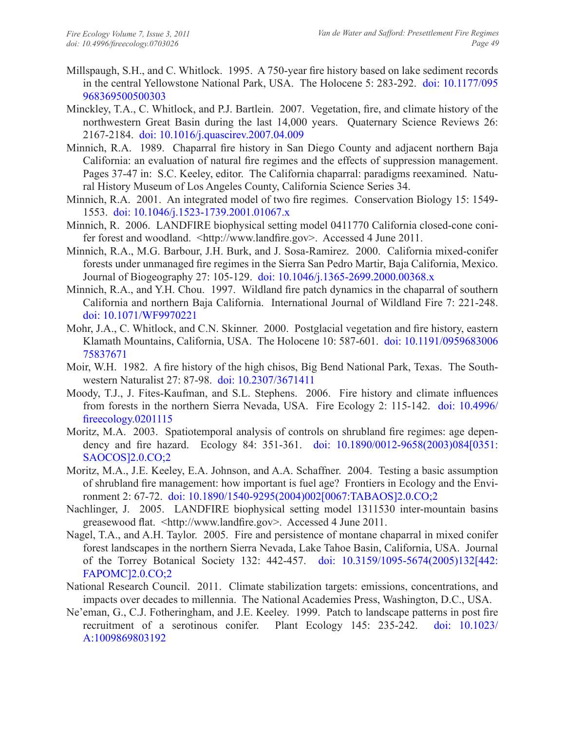- Millspaugh, S.H., and C. Whitlock. 1995. A 750-year fire history based on lake sediment records in the central Yellowstone National Park, USA. The Holocene 5: 283-292. [doi: 10.1177/095](http://dx.doi.org/10.1139/x90-051) [96836950050030](http://dx.doi.org/10.1139/x90-051)3
- Minckley, T.A., C. Whitlock, and P.J. Bartlein. 2007. Vegetation, fire, and climate history of the northwestern Great Basin during the last 14,000 years. Quaternary Science Reviews 26: 2167-2184. doi: [10.1016/j.quascirev.2007.04.00](http://dx.doi.org/10.1016/j.quascirev.2007.04.009)9
- Minnich, R.A. 1989. Chaparral fire history in San Diego County and adjacent northern Baja California: an evaluation of natural fire regimes and the effects of suppression management. Pages 37-47 in: S.C. Keeley, editor. The California chaparral: paradigms reexamined. Natural History Museum of Los Angeles County, California Science Series 34.
- Minnich, R.A. 2001. An integrated model of two fire regimes. Conservation Biology 15: 1549- 1553. doi: [10.1046/j.1523-1739.2001.01067.](http://dx.doi.org/10.1046/j.1523-1739.2001.01067.x)x
- Minnich, R. 2006. LANDFIRE biophysical setting model 0411770 California closed-cone conifer forest and woodland. <http://www.landfire.gov>. Accessed 4 June 2011.
- Minnich, R.A., M.G. Barbour, J.H. Burk, and J. Sosa-Ramirez. 2000. California mixed-conifer forests under unmanaged fire regimes in the Sierra San Pedro Martir, Baja California, Mexico. Journal of Biogeography 27: 105-129. doi: [10.1046/j.1365-2699.2000.00368.](http://dx.doi.org/10.1046/j.1365-2699.2000.00368.x)x
- Minnich, R.A., and Y.H. Chou. 1997. Wildland fire patch dynamics in the chaparral of southern California and northern Baja California. International Journal of Wildland Fire 7: 221-248. doi: [10.1071/WF997022](http://dx.doi.org/10.1071/WF9970221)1
- Mohr, J.A., C. Whitlock, and C.N. Skinner. 2000. Postglacial vegetation and fire history, eastern Klamath Mountains, California, USA. The Holocene 10: 587-601. doi: [10.1191/0959683006](http://dx.doi.org/10.1191/095968300675837671) [75837671](http://dx.doi.org/10.1191/095968300675837671)
- Moir, W.H. 1982. A fire history of the high chisos, Big Bend National Park, Texas. The Southwestern Naturalist 27: 87-98. doi: [10.2307/367141](http://dx.doi.org/10.2307/3671411)1
- Moody, T.J., J. Fites-Kaufman, and S.L. Stephens. 2006. Fire history and climate influences from forests in the northern Sierra Nevada, USA. Fire Ecology 2: 115-142. doi: [10.4996/](http://dx.doi.org/10.4996/fireecology.0201115) [fireecology.020111](http://dx.doi.org/10.4996/fireecology.0201115)5
- Moritz, M.A. 2003. Spatiotemporal analysis of controls on shrubland fire regimes: age dependency and fire hazard. Ecology 84: 351-361. doi: [10.1890/0012-9658\(2003\)084\[0351:](http://dx.doi.org/10.1890/0012-9658%282003%29084%5b0351:SAOCOS%5d2.0.CO;2) [SAOCOS\]2.0.CO;](http://dx.doi.org/10.1890/0012-9658%282003%29084%5b0351:SAOCOS%5d2.0.CO;2)2
- Moritz, M.A., J.E. Keeley, E.A. Johnson, and A.A. Schaffner. 2004. Testing a basic assumption of shrubland fire management: how important is fuel age? Frontiers in Ecology and the Environment 2: 67-72. doi: [10.1890/1540-9295\(2004\)002\[0067:TABAOS\]2.0.CO;](http://dx.doi.org/10.1890/1540-9295%282004%29002%5b0067:TABAOS%5d2.0.CO;2)2
- Nachlinger, J. 2005. LANDFIRE biophysical setting model 1311530 inter-mountain basins greasewood flat. <http://www.landfire.gov>. Accessed 4 June 2011.
- Nagel, T.A., and A.H. Taylor. 2005. Fire and persistence of montane chaparral in mixed conifer forest landscapes in the northern Sierra Nevada, Lake Tahoe Basin, California, USA. Journal of the Torrey Botanical Society 132: 442-457. doi: [10.3159/1095-5674\(2005\)132\[442:](http://dx.doi.org/10.3159/1095-5674%282005%29132%5b442:FAPOMC%5d2.0.CO;2) [FAPOMC\]2.0.CO;](http://dx.doi.org/10.3159/1095-5674%282005%29132%5b442:FAPOMC%5d2.0.CO;2)2
- National Research Council. 2011. Climate stabilization targets: emissions, concentrations, and impacts over decades to millennia. The National Academies Press, Washington, D.C., USA.
- Ne'eman, G., C.J. Fotheringham, and J.E. Keeley. 1999. Patch to landscape patterns in post fire recruitment of a serotinous conifer. Plant Ecology 145: 235-242. doi: [10.1023/](http://dx.doi.org/10.1023/A:1009869803192) [A:100986980319](http://dx.doi.org/10.1023/A:1009869803192)2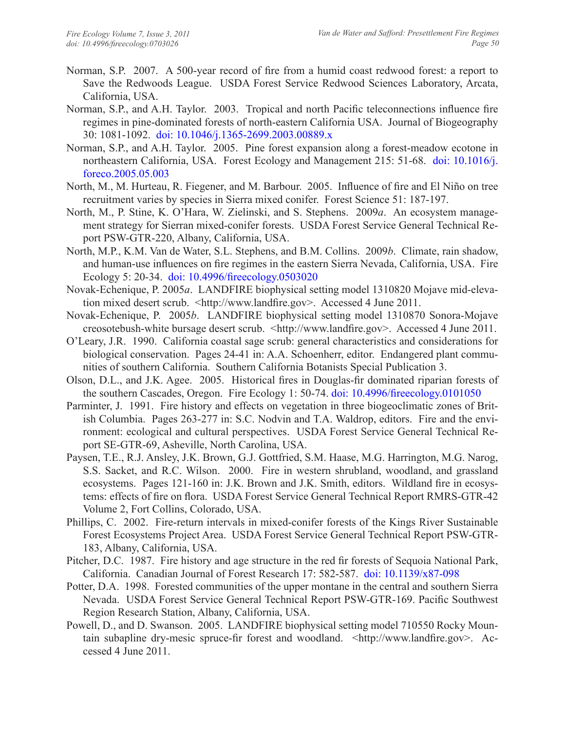- Norman, S.P. 2007. A 500-year record of fire from a humid coast redwood forest: a report to Save the Redwoods League. USDA Forest Service Redwood Sciences Laboratory, Arcata, California, USA.
- Norman, S.P., and A.H. Taylor. 2003. Tropical and north Pacific teleconnections influence fire regimes in pine-dominated forests of north-eastern California USA. Journal of Biogeography 30: 1081-1092. doi: [10.1046/j.1365-2699.2003.00889.](http://dx.doi.org/10.1046/j.1365-2699.2003.00889.x)x
- Norman, S.P., and A.H. Taylor. 2005. Pine forest expansion along a forest-meadow ecotone in northeastern California, USA. Forest Ecology and Management 215: 51-68. doi: [10.1016/j.](http://dx.doi.org/10.1016/j.foreco.2005.05.003) [foreco.2005.05.00](http://dx.doi.org/10.1016/j.foreco.2005.05.003)3
- North, M., M. Hurteau, R. Fiegener, and M. Barbour. 2005. Influence of fire and El Niño on tree recruitment varies by species in Sierra mixed conifer. Forest Science 51: 187-197.
- North, M., P. Stine, K. O'Hara, W. Zielinski, and S. Stephens. 2009*a*. An ecosystem management strategy for Sierran mixed-conifer forests. USDA Forest Service General Technical Report PSW-GTR-220, Albany, California, USA.
- North, M.P., K.M. Van de Water, S.L. Stephens, and B.M. Collins. 2009*b*. Climate, rain shadow, and human-use influences on fire regimes in the eastern Sierra Nevada, California, USA. Fire Ecology 5: 20-34. doi: [10.4996/fireecology.0503020](http://dx.doi.org/10.4996/fireecology.0503020)
- Novak-Echenique, P. 2005*a*. LANDFIRE biophysical setting model 1310820 Mojave mid-elevation mixed desert scrub. <http://www.landfire.gov>. Accessed 4 June 2011.
- Novak-Echenique, P. 2005*b*. LANDFIRE biophysical setting model 1310870 Sonora-Mojave creosotebush-white bursage desert scrub. <http://www.landfire.gov>. Accessed 4 June 2011.
- O'Leary, J.R. 1990. California coastal sage scrub: general characteristics and considerations for biological conservation. Pages 24-41 in: A.A. Schoenherr, editor. Endangered plant communities of southern California. Southern California Botanists Special Publication 3.
- Olson, D.L., and J.K. Agee. 2005. Historical fires in Douglas-fir dominated riparian forests of the southern Cascades, Oregon. Fire Ecology 1: 50-74. doi: [10.4996/fireecology.0101050](http://dx.doi.org/10.4996/fireecology.0101050)
- Parminter, J. 1991. Fire history and effects on vegetation in three biogeoclimatic zones of British Columbia. Pages 263-277 in: S.C. Nodvin and T.A. Waldrop, editors. Fire and the environment: ecological and cultural perspectives. USDA Forest Service General Technical Report SE-GTR-69, Asheville, North Carolina, USA.
- Paysen, T.E., R.J. Ansley, J.K. Brown, G.J. Gottfried, S.M. Haase, M.G. Harrington, M.G. Narog, S.S. Sacket, and R.C. Wilson. 2000. Fire in western shrubland, woodland, and grassland ecosystems. Pages 121-160 in: J.K. Brown and J.K. Smith, editors. Wildland fire in ecosystems: effects of fire on flora. USDA Forest Service General Technical Report RMRS-GTR-42 Volume 2, Fort Collins, Colorado, USA.
- Phillips, C. 2002. Fire-return intervals in mixed-conifer forests of the Kings River Sustainable Forest Ecosystems Project Area. USDA Forest Service General Technical Report PSW-GTR-183, Albany, California, USA.
- Pitcher, D.C. 1987. Fire history and age structure in the red fir forests of Sequoia National Park, California. Canadian Journal of Forest Research 17: 582-587. doi: [10.1139/x87-09](http://dx.doi.org/10.1139/x87-098)8
- Potter, D.A. 1998. Forested communities of the upper montane in the central and southern Sierra Nevada. USDA Forest Service General Technical Report PSW-GTR-169. Pacific Southwest Region Research Station, Albany, California, USA.
- Powell, D., and D. Swanson. 2005. LANDFIRE biophysical setting model 710550 Rocky Mountain subapline dry-mesic spruce-fir forest and woodland. <http://www.landfire.gov>. Accessed 4 June 2011.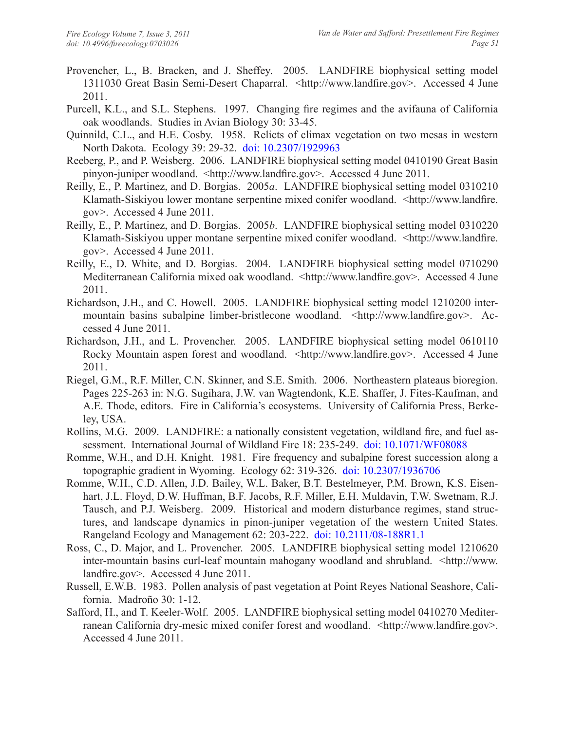- Provencher, L., B. Bracken, and J. Sheffey. 2005. LANDFIRE biophysical setting model 1311030 Great Basin Semi-Desert Chaparral. <http://www.landfire.gov>. Accessed 4 June 2011.
- Purcell, K.L., and S.L. Stephens. 1997. Changing fire regimes and the avifauna of California oak woodlands. Studies in Avian Biology 30: 33-45.
- Quinnild, C.L., and H.E. Cosby. 1958. Relicts of climax vegetation on two mesas in western North Dakota. Ecology 39: 29-32. doi: [10.2307/192996](http://dx.doi.org/10.2307/1929963)3
- Reeberg, P., and P. Weisberg. 2006. LANDFIRE biophysical setting model 0410190 Great Basin pinyon-juniper woodland. <http://www.landfire.gov>. Accessed 4 June 2011.
- Reilly, E., P. Martinez, and D. Borgias. 2005*a*. LANDFIRE biophysical setting model 0310210 Klamath-Siskiyou lower montane serpentine mixed conifer woodland. <http://www.landfire. gov>. Accessed 4 June 2011.
- Reilly, E., P. Martinez, and D. Borgias. 2005*b*. LANDFIRE biophysical setting model 0310220 Klamath-Siskiyou upper montane serpentine mixed conifer woodland. <http://www.landfire. gov>. Accessed 4 June 2011.
- Reilly, E., D. White, and D. Borgias. 2004. LANDFIRE biophysical setting model 0710290 Mediterranean California mixed oak woodland. <http://www.landfire.gov>. Accessed 4 June 2011.
- Richardson, J.H., and C. Howell. 2005. LANDFIRE biophysical setting model 1210200 intermountain basins subalpine limber-bristlecone woodland. <http://www.landfire.gov>. Accessed 4 June 2011.
- Richardson, J.H., and L. Provencher. 2005. LANDFIRE biophysical setting model 0610110 Rocky Mountain aspen forest and woodland. <http://www.landfire.gov>. Accessed 4 June 2011.
- Riegel, G.M., R.F. Miller, C.N. Skinner, and S.E. Smith. 2006. Northeastern plateaus bioregion. Pages 225-263 in: N.G. Sugihara, J.W. van Wagtendonk, K.E. Shaffer, J. Fites-Kaufman, and A.E. Thode, editors. Fire in California's ecosystems. University of California Press, Berkeley, USA.
- Rollins, M.G. 2009. LANDFIRE: a nationally consistent vegetation, wildland fire, and fuel assessment. International Journal of Wildland Fire 18: 235-249. [doi: 10.1071/WF0808](http://dx.doi.org/10.1139/x90-051)8
- Romme, W.H., and D.H. Knight. 1981. Fire frequency and subalpine forest succession along a topographic gradient in Wyoming. Ecology 62: 319-326. [doi: 10.2307/193670](http://dx.doi.org/10.1139/x90-051)6
- Romme, W.H., C.D. Allen, J.D. Bailey, W.L. Baker, B.T. Bestelmeyer, P.M. Brown, K.S. Eisenhart, J.L. Floyd, D.W. Huffman, B.F. Jacobs, R.F. Miller, E.H. Muldavin, T.W. Swetnam, R.J. Tausch, and P.J. Weisberg. 2009. Historical and modern disturbance regimes, stand structures, and landscape dynamics in pinon-juniper vegetation of the western United States. Rangeland Ecology and Management 62: 203-222. doi: [10.2111/08-188R1.](http://dx.doi.org/10.2111/08-188R1.1)1
- Ross, C., D. Major, and L. Provencher. 2005. LANDFIRE biophysical setting model 1210620 inter-mountain basins curl-leaf mountain mahogany woodland and shrubland. <http://www. landfire.gov>. Accessed 4 June 2011.
- Russell, E.W.B. 1983. Pollen analysis of past vegetation at Point Reyes National Seashore, California. Madroño 30: 1-12.
- Safford, H., and T. Keeler-Wolf. 2005. LANDFIRE biophysical setting model 0410270 Mediterranean California dry-mesic mixed conifer forest and woodland. <http://www.landfire.gov>. Accessed 4 June 2011.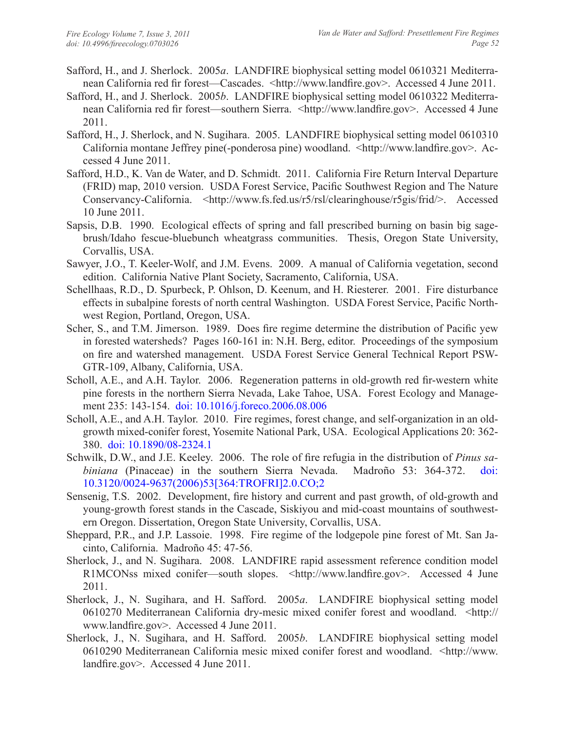- Safford, H., and J. Sherlock. 2005*a*. LANDFIRE biophysical setting model 0610321 Mediterranean California red fir forest—Cascades. <http://www.landfire.gov>. Accessed 4 June 2011.
- Safford, H., and J. Sherlock. 2005*b*. LANDFIRE biophysical setting model 0610322 Mediterranean California red fir forest—southern Sierra. <http://www.landfire.gov>. Accessed 4 June 2011.
- Safford, H., J. Sherlock, and N. Sugihara. 2005. LANDFIRE biophysical setting model 0610310 California montane Jeffrey pine(-ponderosa pine) woodland. <http://www.landfire.gov>. Accessed 4 June 2011.
- Safford, H.D., K. Van de Water, and D. Schmidt. 2011. California Fire Return Interval Departure (FRID) map, 2010 version. USDA Forest Service, Pacific Southwest Region and The Nature Conservancy-California. <http://www.fs.fed.us/r5/rsl/clearinghouse/r5gis/frid/>. Accessed 10 June 2011.
- Sapsis, D.B. 1990. Ecological effects of spring and fall prescribed burning on basin big sagebrush/Idaho fescue-bluebunch wheatgrass communities. Thesis, Oregon State University, Corvallis, USA.
- Sawyer, J.O., T. Keeler-Wolf, and J.M. Evens. 2009. A manual of California vegetation, second edition. California Native Plant Society, Sacramento, California, USA.
- Schellhaas, R.D., D. Spurbeck, P. Ohlson, D. Keenum, and H. Riesterer. 2001. Fire disturbance effects in subalpine forests of north central Washington. USDA Forest Service, Pacific Northwest Region, Portland, Oregon, USA.
- Scher, S., and T.M. Jimerson. 1989. Does fire regime determine the distribution of Pacific yew in forested watersheds? Pages 160-161 in: N.H. Berg, editor. Proceedings of the symposium on fire and watershed management. USDA Forest Service General Technical Report PSW-GTR-109, Albany, California, USA.
- Scholl, A.E., and A.H. Taylor. 2006. Regeneration patterns in old-growth red fir-western white pine forests in the northern Sierra Nevada, Lake Tahoe, USA. Forest Ecology and Management 235: 143-154. doi: [10.1016/j.foreco.2006.08.00](http://dx.doi.org/10.1016/j.foreco.2006.08.006)6
- Scholl, A.E., and A.H. Taylor. 2010. Fire regimes, forest change, and self-organization in an oldgrowth mixed-conifer forest, Yosemite National Park, USA. Ecological Applications 20: 362- 380. doi: [10.1890/08-2324.](http://dx.doi.org/10.1890/08-2324.1)1
- Schwilk, D.W., and J.E. Keeley. 2006. The role of fire refugia in the distribution of *Pinus sabiniana* (Pinaceae) in the southern Sierra Nevada. Madroño 53: 364-372. doi: [10.3120/0024-9637\(2006\)53\[364:TROFRI\]2.0.CO;](http://dx.doi.org/10.3120/0024-9637%282006%2953%5b364:TROFRI%5d2.0.CO;2)2
- Sensenig, T.S. 2002. Development, fire history and current and past growth, of old-growth and young-growth forest stands in the Cascade, Siskiyou and mid-coast mountains of southwestern Oregon. Dissertation, Oregon State University, Corvallis, USA.
- Sheppard, P.R., and J.P. Lassoie. 1998. Fire regime of the lodgepole pine forest of Mt. San Jacinto, California. Madroño 45: 47-56.
- Sherlock, J., and N. Sugihara. 2008. LANDFIRE rapid assessment reference condition model R1MCONss mixed conifer—south slopes. <http://www.landfire.gov>. Accessed 4 June 2011.
- Sherlock, J., N. Sugihara, and H. Safford. 2005*a*. LANDFIRE biophysical setting model 0610270 Mediterranean California dry-mesic mixed conifer forest and woodland. <http:// www.landfire.gov>. Accessed 4 June 2011.
- Sherlock, J., N. Sugihara, and H. Safford. 2005*b*. LANDFIRE biophysical setting model 0610290 Mediterranean California mesic mixed conifer forest and woodland. <http://www. landfire.gov>. Accessed 4 June 2011.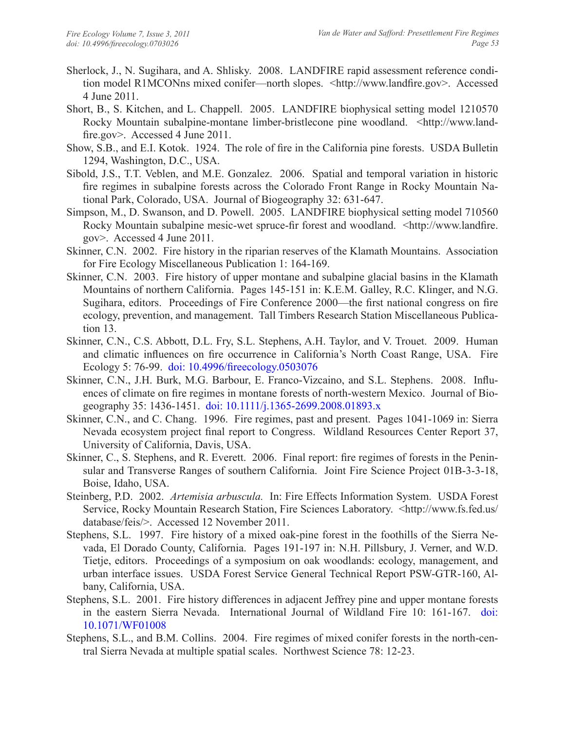- Sherlock, J., N. Sugihara, and A. Shlisky. 2008. LANDFIRE rapid assessment reference condition model R1MCONns mixed conifer—north slopes. <http://www.landfire.gov>. Accessed 4 June 2011.
- Short, B., S. Kitchen, and L. Chappell. 2005. LANDFIRE biophysical setting model 1210570 Rocky Mountain subalpine-montane limber-bristlecone pine woodland. <http://www.landfire.gov>. Accessed 4 June 2011.
- Show, S.B., and E.I. Kotok. 1924. The role of fire in the California pine forests. USDA Bulletin 1294, Washington, D.C., USA.
- Sibold, J.S., T.T. Veblen, and M.E. Gonzalez. 2006. Spatial and temporal variation in historic fire regimes in subalpine forests across the Colorado Front Range in Rocky Mountain National Park, Colorado, USA. Journal of Biogeography 32: 631-647.
- Simpson, M., D. Swanson, and D. Powell. 2005. LANDFIRE biophysical setting model 710560 Rocky Mountain subalpine mesic-wet spruce-fir forest and woodland. <http://www.landfire. gov>. Accessed 4 June 2011.
- Skinner, C.N. 2002. Fire history in the riparian reserves of the Klamath Mountains. Association for Fire Ecology Miscellaneous Publication 1: 164-169.
- Skinner, C.N. 2003. Fire history of upper montane and subalpine glacial basins in the Klamath Mountains of northern California. Pages 145-151 in: K.E.M. Galley, R.C. Klinger, and N.G. Sugihara, editors. Proceedings of Fire Conference 2000—the first national congress on fire ecology, prevention, and management. Tall Timbers Research Station Miscellaneous Publication 13.
- Skinner, C.N., C.S. Abbott, D.L. Fry, S.L. Stephens, A.H. Taylor, and V. Trouet. 2009. Human and climatic influences on fire occurrence in California's North Coast Range, USA. Fire Ecology 5: 76-99. doi: [10.4996/fireecology.050307](http://dx.doi.org/10.4996/fireecology.0503076)6
- Skinner, C.N., J.H. Burk, M.G. Barbour, E. Franco-Vizcaino, and S.L. Stephens. 2008. Influences of climate on fire regimes in montane forests of north-western Mexico. Journal of Bio-geography 35: 1436-1451. doi: [10.1111/j.1365-2699.2008.01893.](http://dx.doi.org/10.1111/j.1365-2699.2008.01893.x)x
- Skinner, C.N., and C. Chang. 1996. Fire regimes, past and present. Pages 1041-1069 in: Sierra Nevada ecosystem project final report to Congress. Wildland Resources Center Report 37, University of California, Davis, USA.
- Skinner, C., S. Stephens, and R. Everett. 2006. Final report: fire regimes of forests in the Peninsular and Transverse Ranges of southern California. Joint Fire Science Project 01B-3-3-18, Boise, Idaho, USA.
- Steinberg, P.D. 2002. *Artemisia arbuscula.* In: Fire Effects Information System. USDA Forest Service, Rocky Mountain Research Station, Fire Sciences Laboratory. <http://www.fs.fed.us/ database/feis/>. Accessed 12 November 2011.
- Stephens, S.L. 1997. Fire history of a mixed oak-pine forest in the foothills of the Sierra Nevada, El Dorado County, California. Pages 191-197 in: N.H. Pillsbury, J. Verner, and W.D. Tietje, editors. Proceedings of a symposium on oak woodlands: ecology, management, and urban interface issues. USDA Forest Service General Technical Report PSW-GTR-160, Albany, California, USA.
- Stephens, S.L. 2001. Fire history differences in adjacent Jeffrey pine and upper montane forests in the eastern Sierra Nevada. International Journal of Wildland Fire 10: 161-167. doi: [10.1071/WF0100](http://dx.doi.org/10.1071/WF01008)8
- Stephens, S.L., and B.M. Collins. 2004. Fire regimes of mixed conifer forests in the north-central Sierra Nevada at multiple spatial scales. Northwest Science 78: 12-23.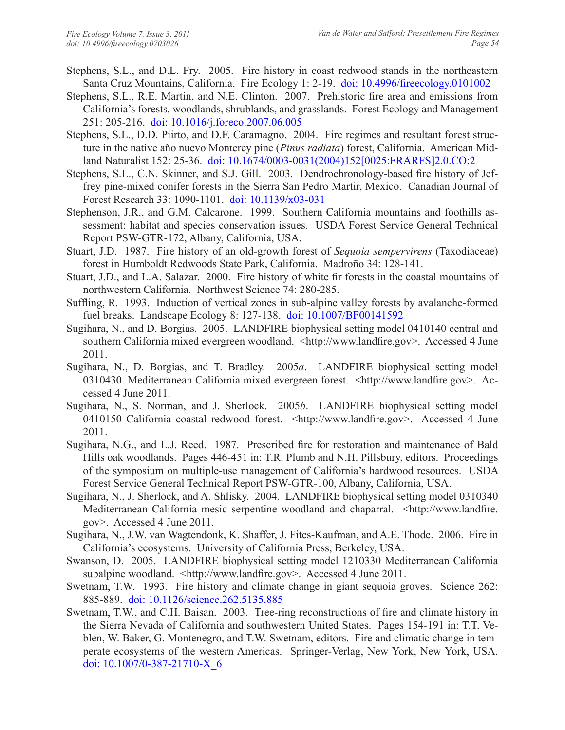- Stephens, S.L., and D.L. Fry. 2005. Fire history in coast redwood stands in the northeastern Santa Cruz Mountains, California. Fire Ecology 1: 2-19. doi: [10.4996/fireecology.010100](http://dx.doi.org/10.4996/fireecology.0101002)2
- Stephens, S.L., R.E. Martin, and N.E. Clinton. 2007. Prehistoric fire area and emissions from California's forests, woodlands, shrublands, and grasslands. Forest Ecology and Management 251: 205-216. doi: [10.1016/j.foreco.2007.06.00](http://dx.doi.org/10.1016/j.foreco.2007.06.005)5
- Stephens, S.L., D.D. Piirto, and D.F. Caramagno. 2004. Fire regimes and resultant forest structure in the native año nuevo Monterey pine (*Pinus radiata*) forest, California. American Midland Naturalist 152: 25-36. doi: [10.1674/0003-0031\(2004\)152\[0025:FRARFS\]2.0.CO;](http://dx.doi.org/10.1674/0003-0031(2004)152%5b0025:FRARFS%5d2.0.CO;2)2
- Stephens, S.L., C.N. Skinner, and S.J. Gill. 2003. Dendrochronology-based fire history of Jeffrey pine-mixed conifer forests in the Sierra San Pedro Martir, Mexico. Canadian Journal of Forest Research 33: 1090-1101. doi: [10.1139/x03-03](http://dx.doi.org/10.1139/x03-031)1
- Stephenson, J.R., and G.M. Calcarone. 1999. Southern California mountains and foothills assessment: habitat and species conservation issues. USDA Forest Service General Technical Report PSW-GTR-172, Albany, California, USA.
- Stuart, J.D. 1987. Fire history of an old-growth forest of *Sequoia sempervirens* (Taxodiaceae) forest in Humboldt Redwoods State Park, California. Madroño 34: 128-141.
- Stuart, J.D., and L.A. Salazar. 2000. Fire history of white fir forests in the coastal mountains of northwestern California. Northwest Science 74: 280-285.
- Suffling, R. 1993. Induction of vertical zones in sub-alpine valley forests by avalanche-formed fuel breaks. Landscape Ecology 8: 127-138. [doi: 10.1007/BF0014159](http://dx.doi.org/10.1139/x90-051)2
- Sugihara, N., and D. Borgias. 2005. LANDFIRE biophysical setting model 0410140 central and southern California mixed evergreen woodland. <http://www.landfire.gov>. Accessed 4 June 2011.
- Sugihara, N., D. Borgias, and T. Bradley. 2005*a*. LANDFIRE biophysical setting model 0310430. Mediterranean California mixed evergreen forest. <http://www.landfire.gov>. Accessed 4 June 2011.
- Sugihara, N., S. Norman, and J. Sherlock. 2005*b*. LANDFIRE biophysical setting model 0410150 California coastal redwood forest. <http://www.landfire.gov>. Accessed 4 June 2011.
- Sugihara, N.G., and L.J. Reed. 1987. Prescribed fire for restoration and maintenance of Bald Hills oak woodlands. Pages 446-451 in: T.R. Plumb and N.H. Pillsbury, editors. Proceedings of the symposium on multiple-use management of California's hardwood resources. USDA Forest Service General Technical Report PSW-GTR-100, Albany, California, USA.
- Sugihara, N., J. Sherlock, and A. Shlisky. 2004. LANDFIRE biophysical setting model 0310340 Mediterranean California mesic serpentine woodland and chaparral. <http://www.landfire. gov>. Accessed 4 June 2011.
- Sugihara, N., J.W. van Wagtendonk, K. Shaffer, J. Fites-Kaufman, and A.E. Thode. 2006. Fire in California's ecosystems. University of California Press, Berkeley, USA.
- Swanson, D. 2005. LANDFIRE biophysical setting model 1210330 Mediterranean California subalpine woodland. <http://www.landfire.gov>. Accessed 4 June 2011.
- Swetnam, T.W. 1993. Fire history and climate change in giant sequoia groves. Science 262: 885-889. doi: [10.1126/science.262.5135.88](http://dx.doi.org/10.1126/science.262.5135.885)5
- Swetnam, T.W., and C.H. Baisan. 2003. Tree-ring reconstructions of fire and climate history in the Sierra Nevada of California and southwestern United States. Pages 154-191 in: T.T. Veblen, W. Baker, G. Montenegro, and T.W. Swetnam, editors. Fire and climatic change in temperate ecosystems of the western Americas. Springer-Verlag, New York, New York, USA. [doi: 10.1007/0-387-21710-X\\_](http://dx.doi.org/10.1139/x90-051)6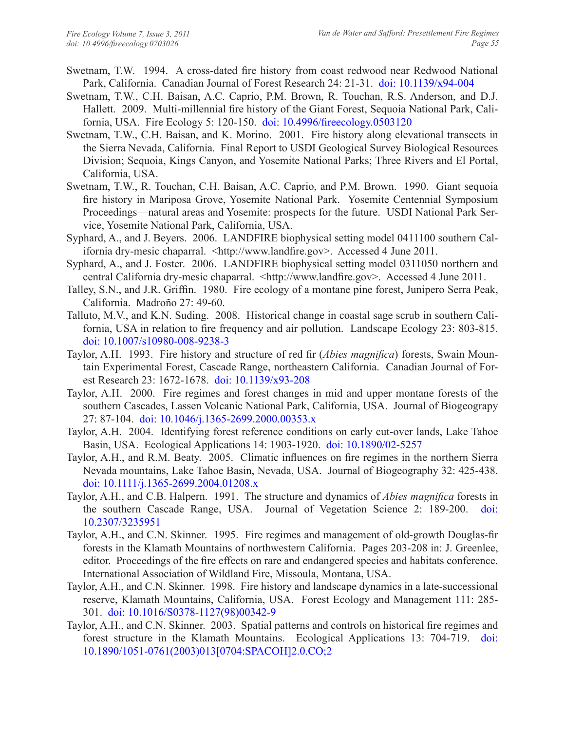- Swetnam, T.W. 1994. A cross-dated fire history from coast redwood near Redwood National Park, California. Canadian Journal of Forest Research 24: 21-31. doi: [10.1139/x94-00](http://dx.doi.org/10.1139/x94-004)4
- Swetnam, T.W., C.H. Baisan, A.C. Caprio, P.M. Brown, R. Touchan, R.S. Anderson, and D.J. Hallett. 2009. Multi-millennial fire history of the Giant Forest, Sequoia National Park, California, USA. Fire Ecology 5: 120-150. doi: [10.4996/fireecology.0503120](http://dx.doi.org/10.4996/fireecology.0503120)
- Swetnam, T.W., C.H. Baisan, and K. Morino. 2001. Fire history along elevational transects in the Sierra Nevada, California. Final Report to USDI Geological Survey Biological Resources Division; Sequoia, Kings Canyon, and Yosemite National Parks; Three Rivers and El Portal, California, USA.
- Swetnam, T.W., R. Touchan, C.H. Baisan, A.C. Caprio, and P.M. Brown. 1990. Giant sequoia fire history in Mariposa Grove, Yosemite National Park. Yosemite Centennial Symposium Proceedings—natural areas and Yosemite: prospects for the future. USDI National Park Service, Yosemite National Park, California, USA.
- Syphard, A., and J. Beyers. 2006. LANDFIRE biophysical setting model 0411100 southern California dry-mesic chaparral. <http://www.landfire.gov>. Accessed 4 June 2011.
- Syphard, A., and J. Foster. 2006. LANDFIRE biophysical setting model 0311050 northern and central California dry-mesic chaparral. <http://www.landfire.gov>. Accessed 4 June 2011.
- Talley, S.N., and J.R. Griffin. 1980. Fire ecology of a montane pine forest, Junipero Serra Peak, California. Madroño 27: 49-60.
- Talluto, M.V., and K.N. Suding. 2008. Historical change in coastal sage scrub in southern California, USA in relation to fire frequency and air pollution. Landscape Ecology 23: 803-815. doi: [10.1007/s10980-008-9238-](http://dx.doi.org/10.1007/s10980-008-9238-3)3
- Taylor, A.H. 1993. Fire history and structure of red fir (*Abies magnifica*) forests, Swain Mountain Experimental Forest, Cascade Range, northeastern California. Canadian Journal of Forest Research 23: 1672-1678. doi: [10.1139/x93-20](http://dx.doi.org/10.1139/x93-208)8
- Taylor, A.H. 2000. Fire regimes and forest changes in mid and upper montane forests of the southern Cascades, Lassen Volcanic National Park, California, USA. Journal of Biogeograpy 27: 87-104. doi: [10.1046/j.1365-2699.2000.00353.](http://dx.doi.org/10.1046/j.1365-2699.2000.00353.x)x
- Taylor, A.H. 2004. Identifying forest reference conditions on early cut-over lands, Lake Tahoe Basin, USA. Ecological Applications 14: 1903-1920. doi: [10.1890/02-525](http://dx.doi.org/10.1890/02-5257)7
- Taylor, A.H., and R.M. Beaty. 2005. Climatic influences on fire regimes in the northern Sierra Nevada mountains, Lake Tahoe Basin, Nevada, USA. Journal of Biogeography 32: 425-438. doi: [10.1111/j.1365-2699.2004.01208.](http://dx.doi.org/10.1111/j.1365-2699.2004.01208.x)x
- Taylor, A.H., and C.B. Halpern. 1991. The structure and dynamics of *Abies magnifica* forests in the southern Cascade Range, USA. Journal of Vegetation Science 2: 189-200. doi: [10.2307/323595](http://dx.doi.org/10.2307/3235951)1
- Taylor, A.H., and C.N. Skinner. 1995. Fire regimes and management of old-growth Douglas-fir forests in the Klamath Mountains of northwestern California. Pages 203-208 in: J. Greenlee, editor. Proceedings of the fire effects on rare and endangered species and habitats conference. International Association of Wildland Fire, Missoula, Montana, USA.
- Taylor, A.H., and C.N. Skinner. 1998. Fire history and landscape dynamics in a late-successional reserve, Klamath Mountains, California, USA. Forest Ecology and Management 111: 285- 301. doi: [10.1016/S0378-1127\(98\)00342-](http://dx.doi.org/10.1016/S0378-1127(98)00342-9)9
- Taylor, A.H., and C.N. Skinner. 2003. Spatial patterns and controls on historical fire regimes and forest structure in the Klamath Mountains. Ecological Applications 13: 704-719. doi: [10.1890/1051-0761\(2003\)013\[0704:SPACOH\]2.0.CO;](http://dx.doi.org/10.1890/1051-0761(2003)013%5b0704:SPACOH%5d2.0.CO;2)2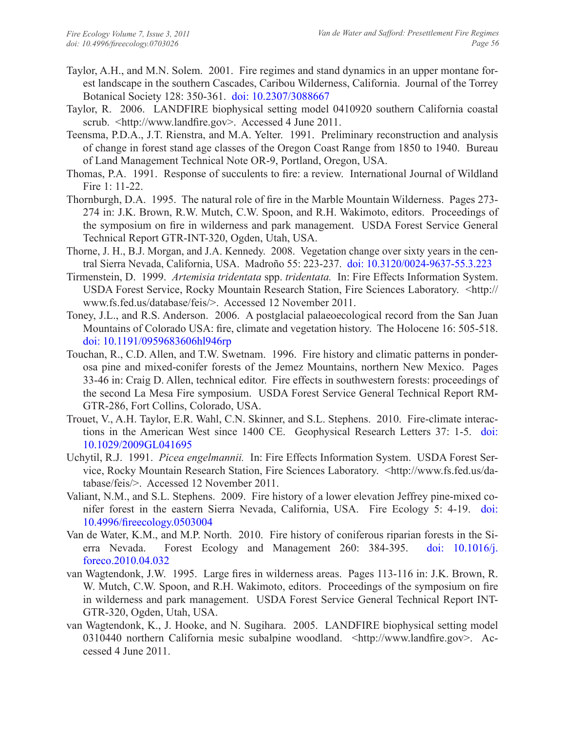- Taylor, A.H., and M.N. Solem. 2001. Fire regimes and stand dynamics in an upper montane forest landscape in the southern Cascades, Caribou Wilderness, California. Journal of the Torrey Botanical Society 128: 350-361. doi: [10.2307/308866](http://dx.doi.org/10.2307/3088667)7
- Taylor, R. 2006. LANDFIRE biophysical setting model 0410920 southern California coastal scrub. <http://www.landfire.gov>. Accessed 4 June 2011.
- Teensma, P.D.A., J.T. Rienstra, and M.A. Yelter. 1991. Preliminary reconstruction and analysis of change in forest stand age classes of the Oregon Coast Range from 1850 to 1940. Bureau of Land Management Technical Note OR-9, Portland, Oregon, USA.
- Thomas, P.A. 1991. Response of succulents to fire: a review. International Journal of Wildland Fire 1: 11-22.
- Thornburgh, D.A. 1995. The natural role of fire in the Marble Mountain Wilderness. Pages 273- 274 in: J.K. Brown, R.W. Mutch, C.W. Spoon, and R.H. Wakimoto, editors. Proceedings of the symposium on fire in wilderness and park management. USDA Forest Service General Technical Report GTR-INT-320, Ogden, Utah, USA.
- Thorne, J. H., B.J. Morgan, and J.A. Kennedy. 2008. Vegetation change over sixty years in the central Sierra Nevada, California, USA. Madroño 55: 223-237. doi: [10.3120/0024-9637-55.3.22](http://dx.doi.org/10.3120/0024-9637-55.3.223)3
- Tirmenstein, D. 1999. *Artemisia tridentata* spp. *tridentata.* In: Fire Effects Information System. USDA Forest Service, Rocky Mountain Research Station, Fire Sciences Laboratory. <http:// www.fs.fed.us/database/feis/>. Accessed 12 November 2011.
- Toney, J.L., and R.S. Anderson. 2006. A postglacial palaeoecological record from the San Juan Mountains of Colorado USA: fire, climate and vegetation history. The Holocene 16: 505-518. doi: [10.1191/0959683606hl946r](http://dx.doi.org/10.1191/0959683606hl946rp)p
- Touchan, R., C.D. Allen, and T.W. Swetnam. 1996. Fire history and climatic patterns in ponderosa pine and mixed-conifer forests of the Jemez Mountains, northern New Mexico. Pages 33-46 in: Craig D. Allen, technical editor. Fire effects in southwestern forests: proceedings of the second La Mesa Fire symposium. USDA Forest Service General Technical Report RM-GTR-286, Fort Collins, Colorado, USA.
- Trouet, V., A.H. Taylor, E.R. Wahl, C.N. Skinner, and S.L. Stephens. 2010. Fire-climate interactions in the American West since 1400 CE. Geophysical Research Letters 37: 1-5. doi: [10.1029/2009GL04169](http://dx.doi.org/10.1029/2009GL041695)5
- Uchytil, R.J. 1991. *Picea engelmannii.* In: Fire Effects Information System. USDA Forest Service, Rocky Mountain Research Station, Fire Sciences Laboratory. <http://www.fs.fed.us/database/feis/>. Accessed 12 November 2011.
- Valiant, N.M., and S.L. Stephens. 2009. Fire history of a lower elevation Jeffrey pine-mixed conifer forest in the eastern Sierra Nevada, California, USA. Fire Ecology 5: 4-19. doi: [10.4996/fireecology.050300](http://dx.doi.org/10.4996/fireecology.0503004)4
- Van de Water, K.M., and M.P. North. 2010. Fire history of coniferous riparian forests in the Sierra Nevada. Forest Ecology and Management 260: 384-395. doi: [10.1016/j.](http://dx.doi.org/10.1016/j.foreco.2010.04.032) [foreco.2010.04.03](http://dx.doi.org/10.1016/j.foreco.2010.04.032)2
- van Wagtendonk, J.W. 1995. Large fires in wilderness areas. Pages 113-116 in: J.K. Brown, R. W. Mutch, C.W. Spoon, and R.H. Wakimoto, editors. Proceedings of the symposium on fire in wilderness and park management. USDA Forest Service General Technical Report INT-GTR-320, Ogden, Utah, USA.
- van Wagtendonk, K., J. Hooke, and N. Sugihara. 2005. LANDFIRE biophysical setting model 0310440 northern California mesic subalpine woodland. <http://www.landfire.gov>. Accessed 4 June 2011.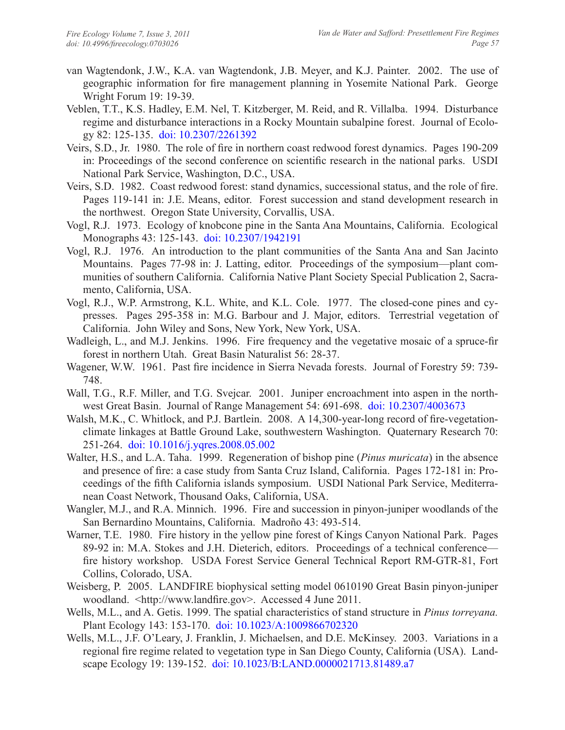- van Wagtendonk, J.W., K.A. van Wagtendonk, J.B. Meyer, and K.J. Painter. 2002. The use of geographic information for fire management planning in Yosemite National Park. George Wright Forum 19: 19-39.
- Veblen, T.T., K.S. Hadley, E.M. Nel, T. Kitzberger, M. Reid, and R. Villalba. 1994. Disturbance regime and disturbance interactions in a Rocky Mountain subalpine forest. Journal of Ecology 82: 125-135. [doi: 10.2307/226139](http://dx.doi.org/10.1139/x90-051)2
- Veirs, S.D., Jr. 1980. The role of fire in northern coast redwood forest dynamics. Pages 190-209 in: Proceedings of the second conference on scientific research in the national parks. USDI National Park Service, Washington, D.C., USA.
- Veirs, S.D. 1982. Coast redwood forest: stand dynamics, successional status, and the role of fire. Pages 119-141 in: J.E. Means, editor. Forest succession and stand development research in the northwest. Oregon State University, Corvallis, USA.
- Vogl, R.J. 1973. Ecology of knobcone pine in the Santa Ana Mountains, California. Ecological Monographs 43: 125-143. doi: [10.2307/194219](http://dx.doi.org/10.2307/1942191)1
- Vogl, R.J. 1976. An introduction to the plant communities of the Santa Ana and San Jacinto Mountains. Pages 77-98 in: J. Latting, editor. Proceedings of the symposium—plant communities of southern California. California Native Plant Society Special Publication 2, Sacramento, California, USA.
- Vogl, R.J., W.P. Armstrong, K.L. White, and K.L. Cole. 1977. The closed-cone pines and cypresses. Pages 295-358 in: M.G. Barbour and J. Major, editors. Terrestrial vegetation of California. John Wiley and Sons, New York, New York, USA.
- Wadleigh, L., and M.J. Jenkins. 1996. Fire frequency and the vegetative mosaic of a spruce-fir forest in northern Utah. Great Basin Naturalist 56: 28-37.
- Wagener, W.W. 1961. Past fire incidence in Sierra Nevada forests. Journal of Forestry 59: 739- 748.
- Wall, T.G., R.F. Miller, and T.G. Svejcar. 2001. Juniper encroachment into aspen in the northwest Great Basin. Journal of Range Management 54: 691-698. doi: [10.2307/400367](http://dx.doi.org/10.2307/4003673)3
- Walsh, M.K., C. Whitlock, and P.J. Bartlein. 2008. A 14,300-year-long record of fire-vegetationclimate linkages at Battle Ground Lake, southwestern Washington. Quaternary Research 70: 251-264. doi: [10.1016/j.yqres.2008.05.00](http://dx.doi.org/10.1016/j.yqres.2008.05.002)2
- Walter, H.S., and L.A. Taha. 1999. Regeneration of bishop pine (*Pinus muricata*) in the absence and presence of fire: a case study from Santa Cruz Island, California. Pages 172-181 in: Proceedings of the fifth California islands symposium. USDI National Park Service, Mediterranean Coast Network, Thousand Oaks, California, USA.
- Wangler, M.J., and R.A. Minnich. 1996. Fire and succession in pinyon-juniper woodlands of the San Bernardino Mountains, California. Madroño 43: 493-514.
- Warner, T.E. 1980. Fire history in the yellow pine forest of Kings Canyon National Park. Pages 89-92 in: M.A. Stokes and J.H. Dieterich, editors. Proceedings of a technical conference fire history workshop. USDA Forest Service General Technical Report RM-GTR-81, Fort Collins, Colorado, USA.
- Weisberg, P. 2005. LANDFIRE biophysical setting model 0610190 Great Basin pinyon-juniper woodland. <http://www.landfire.gov>. Accessed 4 June 2011.
- Wells, M.L., and A. Getis. 1999. The spatial characteristics of stand structure in *Pinus torreyana.*  Plant Ecology 143: 153-170. doi: [10.1023/A:1009866702320](http://dx.doi.org/10.1023/A:1009866702320)
- Wells, M.L., J.F. O'Leary, J. Franklin, J. Michaelsen, and D.E. McKinsey. 2003. Variations in a regional fire regime related to vegetation type in San Diego County, California (USA). Landscape Ecology 19: 139-152. doi: [10.1023/B:LAND.0000021713.81489.a](http://dx.doi.org/10.1023/B:LAND.0000021713.81489.a7)7